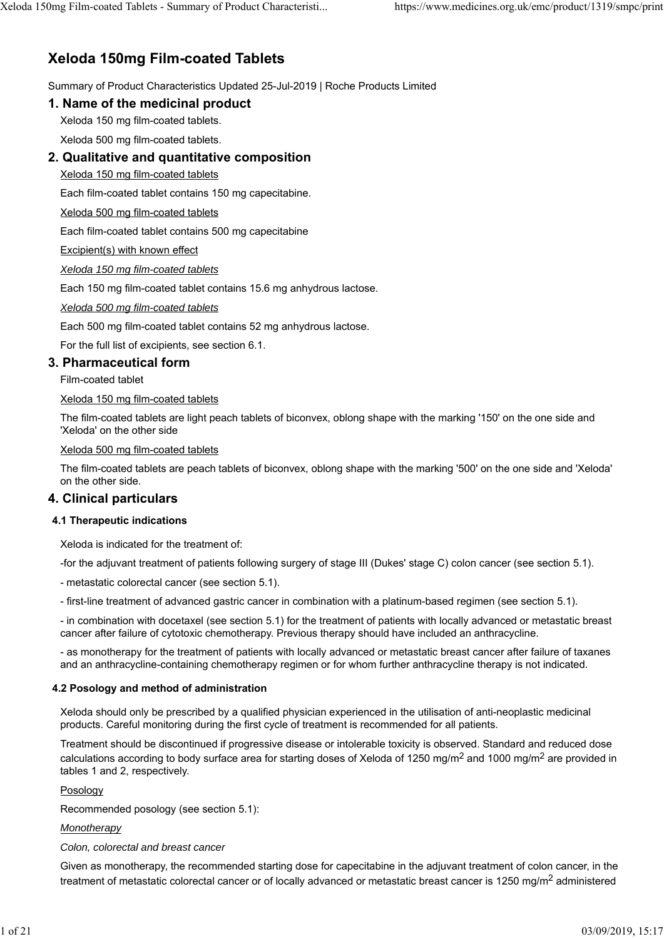# **Xeloda 150mg Film-coated Tablets**

Summary of Product Characteristics Updated 25-Jul-2019 | Roche Products Limited

### **1. Name of the medicinal product**

Xeloda 150 mg film-coated tablets.

Xeloda 500 mg film-coated tablets.

# **2. Qualitative and quantitative composition**

Xeloda 150 mg film-coated tablets

Each film-coated tablet contains 150 mg capecitabine.

Xeloda 500 mg film-coated tablets

Each film-coated tablet contains 500 mg capecitabine

Excipient(s) with known effect

*Xeloda 150 mg film-coated tablets*

Each 150 mg film-coated tablet contains 15.6 mg anhydrous lactose.

*Xeloda 500 mg film-coated tablets*

Each 500 mg film-coated tablet contains 52 mg anhydrous lactose.

For the full list of excipients, see section 6.1.

# **3. Pharmaceutical form**

Film-coated tablet

### Xeloda 150 mg film-coated tablets

The film-coated tablets are light peach tablets of biconvex, oblong shape with the marking '150' on the one side and 'Xeloda' on the other side

Xeloda 500 mg film-coated tablets

The film-coated tablets are peach tablets of biconvex, oblong shape with the marking '500' on the one side and 'Xeloda' on the other side.

# **4. Clinical particulars**

### **4.1 Therapeutic indications**

Xeloda is indicated for the treatment of:

-for the adjuvant treatment of patients following surgery of stage III (Dukes' stage C) colon cancer (see section 5.1).

- metastatic colorectal cancer (see section 5.1).

- first-line treatment of advanced gastric cancer in combination with a platinum-based regimen (see section 5.1).

- in combination with docetaxel (see section 5.1) for the treatment of patients with locally advanced or metastatic breast cancer after failure of cytotoxic chemotherapy. Previous therapy should have included an anthracycline.

- as monotherapy for the treatment of patients with locally advanced or metastatic breast cancer after failure of taxanes and an anthracycline-containing chemotherapy regimen or for whom further anthracycline therapy is not indicated.

### **4.2 Posology and method of administration**

Xeloda should only be prescribed by a qualified physician experienced in the utilisation of anti-neoplastic medicinal products. Careful monitoring during the first cycle of treatment is recommended for all patients.

Treatment should be discontinued if progressive disease or intolerable toxicity is observed. Standard and reduced dose calculations according to body surface area for starting doses of Xeloda of 1250 mg/m<sup>2</sup> and 1000 mg/m<sup>2</sup> are provided in tables 1 and 2, respectively.

### Posology

Recommended posology (see section 5.1):

### *Monotherapy*

### *Colon, colorectal and breast cancer*

Given as monotherapy, the recommended starting dose for capecitabine in the adjuvant treatment of colon cancer, in the treatment of metastatic colorectal cancer or of locally advanced or metastatic breast cancer is 1250 mg/m<sup>2</sup> administered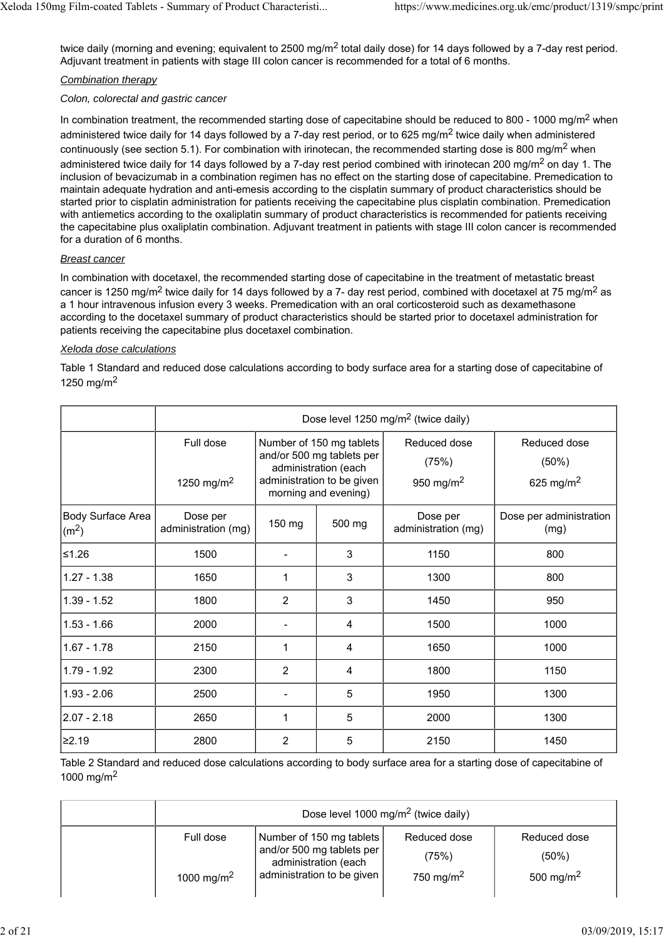twice daily (morning and evening; equivalent to 2500 mg/m<sup>2</sup> total daily dose) for 14 days followed by a 7-day rest period. Adjuvant treatment in patients with stage III colon cancer is recommended for a total of 6 months.

### *Combination therapy*

#### *Colon, colorectal and gastric cancer*

In combination treatment, the recommended starting dose of capecitabine should be reduced to 800 - 1000 mg/m<sup>2</sup> when administered twice daily for 14 days followed by a 7-day rest period, or to 625 mg/m<sup>2</sup> twice daily when administered continuously (see section 5.1). For combination with irinotecan, the recommended starting dose is 800 mg/m<sup>2</sup> when administered twice daily for 14 days followed by a 7-day rest period combined with irinotecan 200 mg/m<sup>2</sup> on day 1. The inclusion of bevacizumab in a combination regimen has no effect on the starting dose of capecitabine. Premedication to maintain adequate hydration and anti-emesis according to the cisplatin summary of product characteristics should be started prior to cisplatin administration for patients receiving the capecitabine plus cisplatin combination. Premedication with antiemetics according to the oxaliplatin summary of product characteristics is recommended for patients receiving the capecitabine plus oxaliplatin combination. Adjuvant treatment in patients with stage III colon cancer is recommended for a duration of 6 months.

### *Breast cancer*

In combination with docetaxel, the recommended starting dose of capecitabine in the treatment of metastatic breast cancer is 1250 mg/m<sup>2</sup> twice daily for 14 days followed by a 7- day rest period, combined with docetaxel at 75 mg/m<sup>2</sup> as a 1 hour intravenous infusion every 3 weeks. Premedication with an oral corticosteroid such as dexamethasone according to the docetaxel summary of product characteristics should be started prior to docetaxel administration for patients receiving the capecitabine plus docetaxel combination.

#### *Xeloda dose calculations*

Table 1 Standard and reduced dose calculations according to body surface area for a starting dose of capecitabine of 1250 mg/m<sup>2</sup>

|                                               | Dose level 1250 mg/m <sup>2</sup> (twice daily) |                                                                                                                                     |        |                                                |                                                |
|-----------------------------------------------|-------------------------------------------------|-------------------------------------------------------------------------------------------------------------------------------------|--------|------------------------------------------------|------------------------------------------------|
|                                               | Full dose<br>1250 mg/m <sup>2</sup>             | Number of 150 mg tablets<br>and/or 500 mg tablets per<br>administration (each<br>administration to be given<br>morning and evening) |        | Reduced dose<br>(75%)<br>950 mg/m <sup>2</sup> | Reduced dose<br>(50%)<br>625 mg/m <sup>2</sup> |
| <b>Body Surface Area</b><br>(m <sup>2</sup> ) | Dose per<br>administration (mg)                 | 150 mg                                                                                                                              | 500 mg | Dose per<br>administration (mg)                | Dose per administration<br>(mg)                |
| $≤1.26$                                       | 1500                                            |                                                                                                                                     | 3      | 1150                                           | 800                                            |
| $1.27 - 1.38$                                 | 1650                                            | 1                                                                                                                                   | 3      | 1300                                           | 800                                            |
| $1.39 - 1.52$                                 | 1800                                            | $\overline{2}$                                                                                                                      | 3      | 1450                                           | 950                                            |
| $1.53 - 1.66$                                 | 2000                                            |                                                                                                                                     | 4      | 1500                                           | 1000                                           |
| $1.67 - 1.78$                                 | 2150                                            | $\mathbf{1}$                                                                                                                        | 4      | 1650                                           | 1000                                           |
| 1.79 - 1.92                                   | 2300                                            | $\overline{2}$                                                                                                                      | 4      | 1800                                           | 1150                                           |
| $1.93 - 2.06$                                 | 2500                                            |                                                                                                                                     | 5      | 1950                                           | 1300                                           |
| $2.07 - 2.18$                                 | 2650                                            | 1                                                                                                                                   | 5      | 2000                                           | 1300                                           |
| ≥2.19                                         | 2800                                            | $\overline{2}$                                                                                                                      | 5      | 2150                                           | 1450                                           |

Table 2 Standard and reduced dose calculations according to body surface area for a starting dose of capecitabine of 1000 mg/m<sup>2</sup>

| Dose level 1000 mg/m <sup>2</sup> (twice daily) |                                                   |                       |                       |  |
|-------------------------------------------------|---------------------------------------------------|-----------------------|-----------------------|--|
| Full dose                                       | Number of 150 mg tablets                          | Reduced dose          | Reduced dose          |  |
|                                                 | and/or 500 mg tablets per<br>administration (each | (75%)                 | $(50\%)$              |  |
| 1000 mg/m <sup>2</sup>                          | administration to be given                        | 750 mg/m <sup>2</sup> | 500 mg/m <sup>2</sup> |  |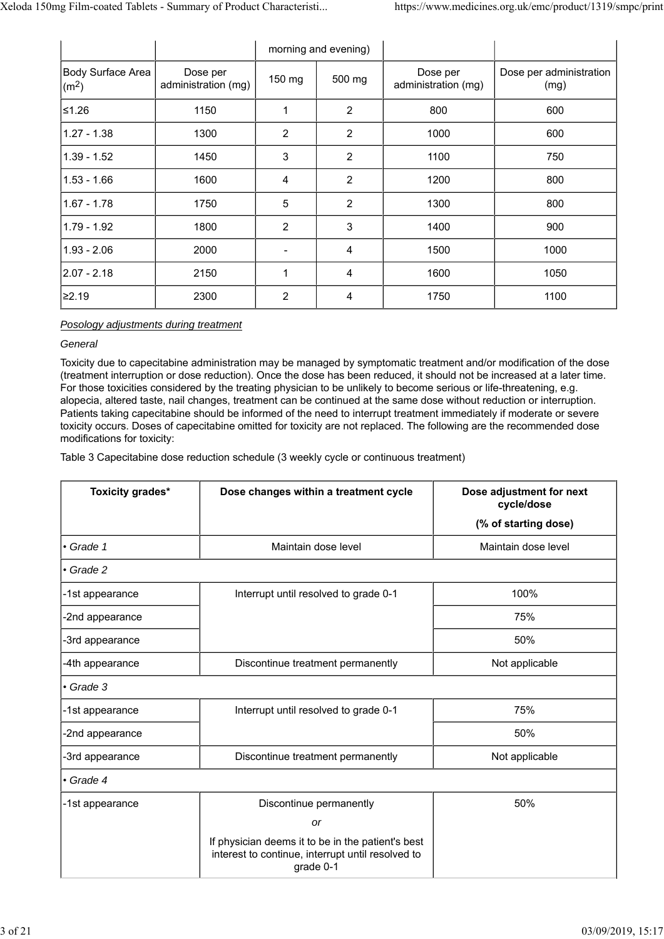|                                        |                                 |                | morning and evening) |                                 |                                 |
|----------------------------------------|---------------------------------|----------------|----------------------|---------------------------------|---------------------------------|
| Body Surface Area<br>(m <sup>2</sup> ) | Dose per<br>administration (mg) | 150 mg         | 500 mg               | Dose per<br>administration (mg) | Dose per administration<br>(mg) |
| 1.26≤                                  | 1150                            |                | $\overline{2}$       | 800                             | 600                             |
| $1.27 - 1.38$                          | 1300                            | $\overline{2}$ | $\overline{2}$       | 1000                            | 600                             |
| $1.39 - 1.52$                          | 1450                            | 3              | $\overline{2}$       | 1100                            | 750                             |
| $1.53 - 1.66$                          | 1600                            | 4              | $\overline{2}$       | 1200                            | 800                             |
| $1.67 - 1.78$                          | 1750                            | 5              | $\overline{2}$       | 1300                            | 800                             |
| $1.79 - 1.92$                          | 1800                            | $\overline{2}$ | 3                    | 1400                            | 900                             |
| $1.93 - 2.06$                          | 2000                            | $\blacksquare$ | 4                    | 1500                            | 1000                            |
| 2.07 - 2.18                            | 2150                            | 1              | 4                    | 1600                            | 1050                            |
| ≥2.19                                  | 2300                            | $\overline{c}$ | 4                    | 1750                            | 1100                            |

### *Posology adjustments during treatment*

### *General*

Toxicity due to capecitabine administration may be managed by symptomatic treatment and/or modification of the dose (treatment interruption or dose reduction). Once the dose has been reduced, it should not be increased at a later time. For those toxicities considered by the treating physician to be unlikely to become serious or life-threatening, e.g. alopecia, altered taste, nail changes, treatment can be continued at the same dose without reduction or interruption. Patients taking capecitabine should be informed of the need to interrupt treatment immediately if moderate or severe toxicity occurs. Doses of capecitabine omitted for toxicity are not replaced. The following are the recommended dose modifications for toxicity:

Table 3 Capecitabine dose reduction schedule (3 weekly cycle or continuous treatment)

| Toxicity grades* | Dose changes within a treatment cycle                                                                               | Dose adjustment for next<br>cycle/dose |
|------------------|---------------------------------------------------------------------------------------------------------------------|----------------------------------------|
|                  |                                                                                                                     | (% of starting dose)                   |
| • Grade 1        | Maintain dose level                                                                                                 | Maintain dose level                    |
| • Grade 2        |                                                                                                                     |                                        |
| -1st appearance  | Interrupt until resolved to grade 0-1                                                                               | 100%                                   |
| -2nd appearance  |                                                                                                                     | 75%                                    |
| -3rd appearance  |                                                                                                                     | 50%                                    |
| -4th appearance  | Discontinue treatment permanently                                                                                   | Not applicable                         |
| $\cdot$ Grade 3  |                                                                                                                     |                                        |
| -1st appearance  | Interrupt until resolved to grade 0-1                                                                               | 75%                                    |
| -2nd appearance  |                                                                                                                     | 50%                                    |
| -3rd appearance  | Discontinue treatment permanently                                                                                   | Not applicable                         |
| • Grade 4        |                                                                                                                     |                                        |
| -1st appearance  | Discontinue permanently                                                                                             | 50%                                    |
|                  | <b>or</b>                                                                                                           |                                        |
|                  | If physician deems it to be in the patient's best<br>interest to continue, interrupt until resolved to<br>grade 0-1 |                                        |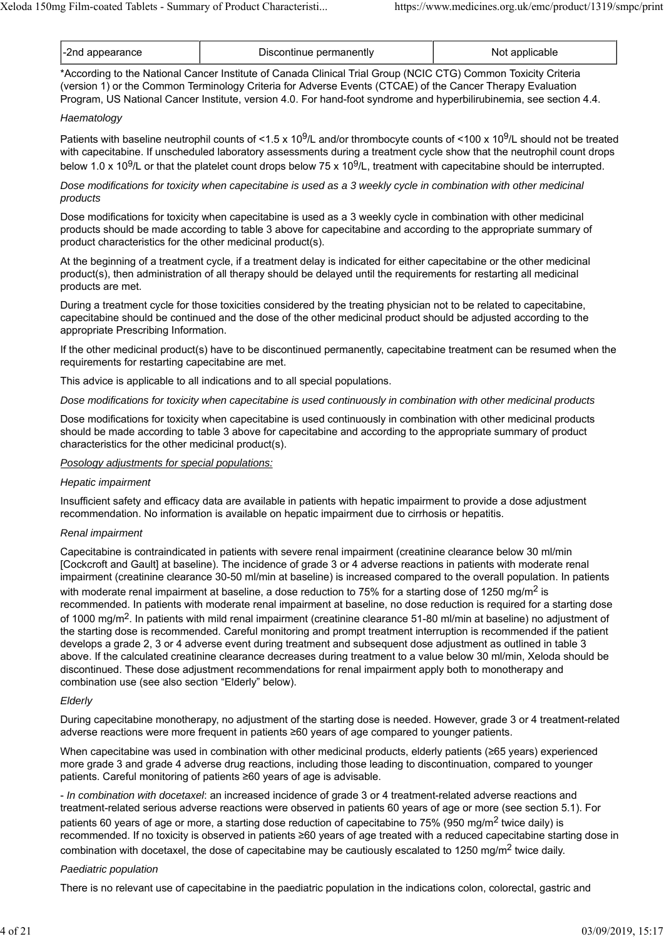| -2nd appearance | Discontinue permanently | applicable<br>Not |
|-----------------|-------------------------|-------------------|
|-----------------|-------------------------|-------------------|

\*According to the National Cancer Institute of Canada Clinical Trial Group (NCIC CTG) Common Toxicity Criteria (version 1) or the Common Terminology Criteria for Adverse Events (CTCAE) of the Cancer Therapy Evaluation Program, US National Cancer Institute, version 4.0. For hand-foot syndrome and hyperbilirubinemia, see section 4.4.

#### *Haematology*

Patients with baseline neutrophil counts of <1.5 x 10<sup>9</sup>/L and/or thrombocyte counts of <100 x 10<sup>9</sup>/L should not be treated with capecitabine. If unscheduled laboratory assessments during a treatment cycle show that the neutrophil count drops below 1.0 x 10<sup>9</sup>/L or that the platelet count drops below 75 x 10<sup>9</sup>/L, treatment with capecitabine should be interrupted.

*Dose modifications for toxicity when capecitabine is used as a 3 weekly cycle in combination with other medicinal products*

Dose modifications for toxicity when capecitabine is used as a 3 weekly cycle in combination with other medicinal products should be made according to table 3 above for capecitabine and according to the appropriate summary of product characteristics for the other medicinal product(s).

At the beginning of a treatment cycle, if a treatment delay is indicated for either capecitabine or the other medicinal product(s), then administration of all therapy should be delayed until the requirements for restarting all medicinal products are met.

During a treatment cycle for those toxicities considered by the treating physician not to be related to capecitabine, capecitabine should be continued and the dose of the other medicinal product should be adjusted according to the appropriate Prescribing Information.

If the other medicinal product(s) have to be discontinued permanently, capecitabine treatment can be resumed when the requirements for restarting capecitabine are met.

This advice is applicable to all indications and to all special populations.

*Dose modifications for toxicity when capecitabine is used continuously in combination with other medicinal products*

Dose modifications for toxicity when capecitabine is used continuously in combination with other medicinal products should be made according to table 3 above for capecitabine and according to the appropriate summary of product characteristics for the other medicinal product(s).

#### *Posology adjustments for special populations:*

#### *Hepatic impairment*

Insufficient safety and efficacy data are available in patients with hepatic impairment to provide a dose adjustment recommendation. No information is available on hepatic impairment due to cirrhosis or hepatitis.

#### *Renal impairment*

Capecitabine is contraindicated in patients with severe renal impairment (creatinine clearance below 30 ml/min [Cockcroft and Gault] at baseline). The incidence of grade 3 or 4 adverse reactions in patients with moderate renal impairment (creatinine clearance 30-50 ml/min at baseline) is increased compared to the overall population. In patients with moderate renal impairment at baseline, a dose reduction to 75% for a starting dose of 1250 mg/m<sup>2</sup> is recommended. In patients with moderate renal impairment at baseline, no dose reduction is required for a starting dose of 1000 mg/m2. In patients with mild renal impairment (creatinine clearance 51-80 ml/min at baseline) no adjustment of the starting dose is recommended. Careful monitoring and prompt treatment interruption is recommended if the patient develops a grade 2, 3 or 4 adverse event during treatment and subsequent dose adjustment as outlined in table 3 above. If the calculated creatinine clearance decreases during treatment to a value below 30 ml/min, Xeloda should be discontinued. These dose adjustment recommendations for renal impairment apply both to monotherapy and combination use (see also section "Elderly" below).

### *Elderly*

During capecitabine monotherapy, no adjustment of the starting dose is needed. However, grade 3 or 4 treatment-related adverse reactions were more frequent in patients ≥60 years of age compared to younger patients.

When capecitabine was used in combination with other medicinal products, elderly patients (≥65 years) experienced more grade 3 and grade 4 adverse drug reactions, including those leading to discontinuation, compared to younger patients. Careful monitoring of patients ≥60 years of age is advisable.

- *In combination with docetaxel*: an increased incidence of grade 3 or 4 treatment-related adverse reactions and treatment-related serious adverse reactions were observed in patients 60 years of age or more (see section 5.1). For patients 60 years of age or more, a starting dose reduction of capecitabine to 75% (950 mg/m<sup>2</sup> twice daily) is recommended. If no toxicity is observed in patients ≥60 years of age treated with a reduced capecitabine starting dose in combination with docetaxel, the dose of capecitabine may be cautiously escalated to 1250 mg/m2 twice daily.

### *Paediatric population*

There is no relevant use of capecitabine in the paediatric population in the indications colon, colorectal, gastric and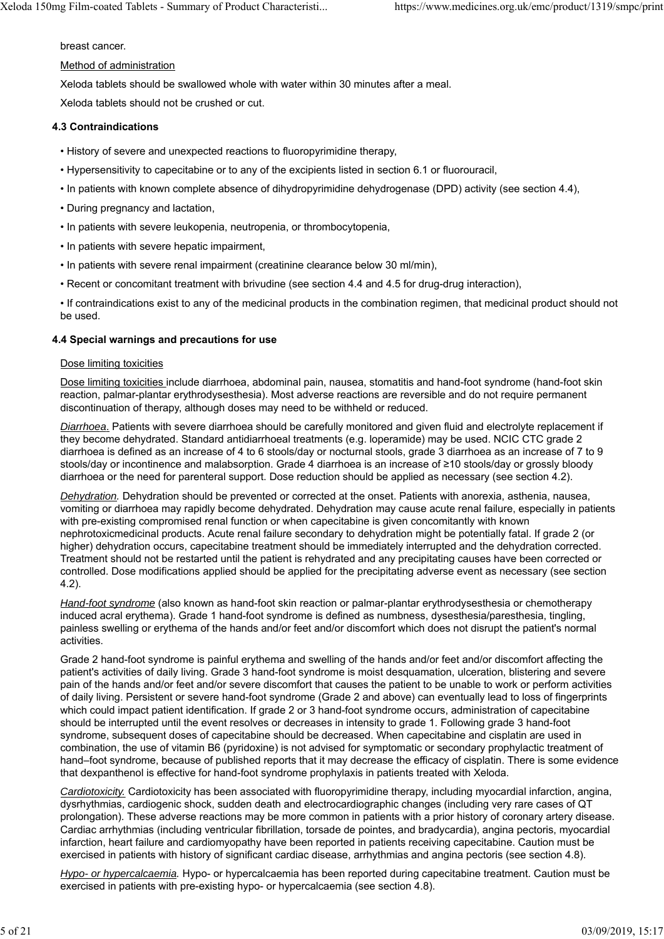breast cancer.

#### Method of administration

Xeloda tablets should be swallowed whole with water within 30 minutes after a meal.

Xeloda tablets should not be crushed or cut.

### **4.3 Contraindications**

- History of severe and unexpected reactions to fluoropyrimidine therapy,
- Hypersensitivity to capecitabine or to any of the excipients listed in section 6.1 or fluorouracil,
- In patients with known complete absence of dihydropyrimidine dehydrogenase (DPD) activity (see section 4.4),
- During pregnancy and lactation,
- In patients with severe leukopenia, neutropenia, or thrombocytopenia,
- In patients with severe hepatic impairment,
- In patients with severe renal impairment (creatinine clearance below 30 ml/min),
- Recent or concomitant treatment with brivudine (see section 4.4 and 4.5 for drug-drug interaction),

• If contraindications exist to any of the medicinal products in the combination regimen, that medicinal product should not be used.

### **4.4 Special warnings and precautions for use**

### Dose limiting toxicities

Dose limiting toxicities include diarrhoea, abdominal pain, nausea, stomatitis and hand-foot syndrome (hand-foot skin reaction, palmar-plantar erythrodysesthesia). Most adverse reactions are reversible and do not require permanent discontinuation of therapy, although doses may need to be withheld or reduced.

*Diarrhoea*. Patients with severe diarrhoea should be carefully monitored and given fluid and electrolyte replacement if they become dehydrated. Standard antidiarrhoeal treatments (e.g. loperamide) may be used. NCIC CTC grade 2 diarrhoea is defined as an increase of 4 to 6 stools/day or nocturnal stools, grade 3 diarrhoea as an increase of 7 to 9 stools/day or incontinence and malabsorption. Grade 4 diarrhoea is an increase of ≥10 stools/day or grossly bloody diarrhoea or the need for parenteral support. Dose reduction should be applied as necessary (see section 4.2).

*Dehydration.* Dehydration should be prevented or corrected at the onset. Patients with anorexia, asthenia, nausea, vomiting or diarrhoea may rapidly become dehydrated. Dehydration may cause acute renal failure, especially in patients with pre-existing compromised renal function or when capecitabine is given concomitantly with known nephrotoxicmedicinal products. Acute renal failure secondary to dehydration might be potentially fatal. If grade 2 (or higher) dehydration occurs, capecitabine treatment should be immediately interrupted and the dehydration corrected. Treatment should not be restarted until the patient is rehydrated and any precipitating causes have been corrected or controlled. Dose modifications applied should be applied for the precipitating adverse event as necessary (see section 4.2).

*Hand-foot syndrome* (also known as hand-foot skin reaction or palmar-plantar erythrodysesthesia or chemotherapy induced acral erythema). Grade 1 hand-foot syndrome is defined as numbness, dysesthesia/paresthesia, tingling, painless swelling or erythema of the hands and/or feet and/or discomfort which does not disrupt the patient's normal activities.

Grade 2 hand-foot syndrome is painful erythema and swelling of the hands and/or feet and/or discomfort affecting the patient's activities of daily living. Grade 3 hand-foot syndrome is moist desquamation, ulceration, blistering and severe pain of the hands and/or feet and/or severe discomfort that causes the patient to be unable to work or perform activities of daily living. Persistent or severe hand-foot syndrome (Grade 2 and above) can eventually lead to loss of fingerprints which could impact patient identification. If grade 2 or 3 hand-foot syndrome occurs, administration of capecitabine should be interrupted until the event resolves or decreases in intensity to grade 1. Following grade 3 hand-foot syndrome, subsequent doses of capecitabine should be decreased. When capecitabine and cisplatin are used in combination, the use of vitamin B6 (pyridoxine) is not advised for symptomatic or secondary prophylactic treatment of hand–foot syndrome, because of published reports that it may decrease the efficacy of cisplatin. There is some evidence that dexpanthenol is effective for hand-foot syndrome prophylaxis in patients treated with Xeloda.

*Cardiotoxicity.* Cardiotoxicity has been associated with fluoropyrimidine therapy, including myocardial infarction, angina, dysrhythmias, cardiogenic shock, sudden death and electrocardiographic changes (including very rare cases of QT prolongation). These adverse reactions may be more common in patients with a prior history of coronary artery disease. Cardiac arrhythmias (including ventricular fibrillation, torsade de pointes, and bradycardia), angina pectoris, myocardial infarction, heart failure and cardiomyopathy have been reported in patients receiving capecitabine. Caution must be exercised in patients with history of significant cardiac disease, arrhythmias and angina pectoris (see section 4.8).

*Hypo- or hypercalcaemia.* Hypo- or hypercalcaemia has been reported during capecitabine treatment. Caution must be exercised in patients with pre-existing hypo- or hypercalcaemia (see section 4.8).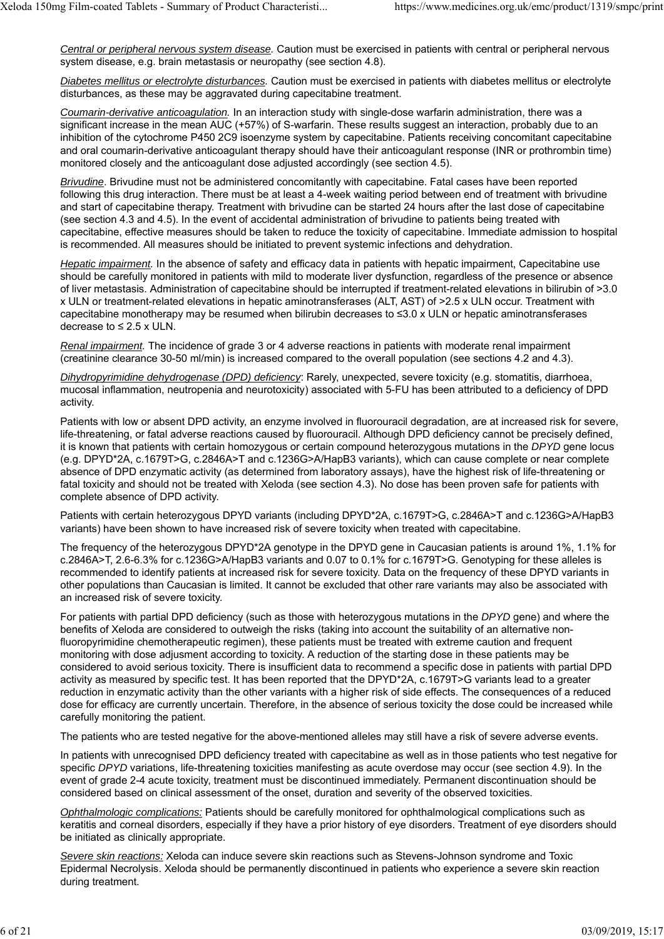*Central or peripheral nervous system disease.* Caution must be exercised in patients with central or peripheral nervous system disease, e.g. brain metastasis or neuropathy (see section 4.8).

*Diabetes mellitus or electrolyte disturbances.* Caution must be exercised in patients with diabetes mellitus or electrolyte disturbances, as these may be aggravated during capecitabine treatment.

*Coumarin-derivative anticoagulation.* In an interaction study with single-dose warfarin administration, there was a significant increase in the mean AUC (+57%) of S-warfarin. These results suggest an interaction, probably due to an inhibition of the cytochrome P450 2C9 isoenzyme system by capecitabine. Patients receiving concomitant capecitabine and oral coumarin-derivative anticoagulant therapy should have their anticoagulant response (INR or prothrombin time) monitored closely and the anticoagulant dose adjusted accordingly (see section 4.5).

*Brivudine*. Brivudine must not be administered concomitantly with capecitabine. Fatal cases have been reported following this drug interaction. There must be at least a 4-week waiting period between end of treatment with brivudine and start of capecitabine therapy. Treatment with brivudine can be started 24 hours after the last dose of capecitabine (see section 4.3 and 4.5). In the event of accidental administration of brivudine to patients being treated with capecitabine, effective measures should be taken to reduce the toxicity of capecitabine. Immediate admission to hospital is recommended. All measures should be initiated to prevent systemic infections and dehydration.

*Hepatic impairment.* In the absence of safety and efficacy data in patients with hepatic impairment, Capecitabine use should be carefully monitored in patients with mild to moderate liver dysfunction, regardless of the presence or absence of liver metastasis. Administration of capecitabine should be interrupted if treatment-related elevations in bilirubin of >3.0 x ULN or treatment-related elevations in hepatic aminotransferases (ALT, AST) of >2.5 x ULN occur. Treatment with capecitabine monotherapy may be resumed when bilirubin decreases to ≤3.0 x ULN or hepatic aminotransferases decrease to  $\leq 2.5$  x ULN.

*Renal impairment.* The incidence of grade 3 or 4 adverse reactions in patients with moderate renal impairment (creatinine clearance 30-50 ml/min) is increased compared to the overall population (see sections 4.2 and 4.3).

*Dihydropyrimidine dehydrogenase (DPD) deficiency*: Rarely, unexpected, severe toxicity (e.g. stomatitis, diarrhoea, mucosal inflammation, neutropenia and neurotoxicity) associated with 5-FU has been attributed to a deficiency of DPD activity.

Patients with low or absent DPD activity, an enzyme involved in fluorouracil degradation, are at increased risk for severe, life-threatening, or fatal adverse reactions caused by fluorouracil. Although DPD deficiency cannot be precisely defined, it is known that patients with certain homozygous or certain compound heterozygous mutations in the *DPYD* gene locus (e.g. DPYD\*2A, c.1679T>G, c.2846A>T and c.1236G>A/HapB3 variants), which can cause complete or near complete absence of DPD enzymatic activity (as determined from laboratory assays), have the highest risk of life-threatening or fatal toxicity and should not be treated with Xeloda (see section 4.3). No dose has been proven safe for patients with complete absence of DPD activity.

Patients with certain heterozygous DPYD variants (including DPYD\*2A, c.1679T>G, c.2846A>T and c.1236G>A/HapB3 variants) have been shown to have increased risk of severe toxicity when treated with capecitabine.

The frequency of the heterozygous DPYD\*2A genotype in the DPYD gene in Caucasian patients is around 1%, 1.1% for c.2846A>T, 2.6-6.3% for c.1236G>A/HapB3 variants and 0.07 to 0.1% for c.1679T>G. Genotyping for these alleles is recommended to identify patients at increased risk for severe toxicity. Data on the frequency of these DPYD variants in other populations than Caucasian is limited. It cannot be excluded that other rare variants may also be associated with an increased risk of severe toxicity.

For patients with partial DPD deficiency (such as those with heterozygous mutations in the *DPYD* gene) and where the benefits of Xeloda are considered to outweigh the risks (taking into account the suitability of an alternative nonfluoropyrimidine chemotherapeutic regimen), these patients must be treated with extreme caution and frequent monitoring with dose adjusment according to toxicity. A reduction of the starting dose in these patients may be considered to avoid serious toxicity. There is insufficient data to recommend a specific dose in patients with partial DPD activity as measured by specific test. It has been reported that the DPYD\*2A, c.1679T>G variants lead to a greater reduction in enzymatic activity than the other variants with a higher risk of side effects. The consequences of a reduced dose for efficacy are currently uncertain. Therefore, in the absence of serious toxicity the dose could be increased while carefully monitoring the patient.

The patients who are tested negative for the above-mentioned alleles may still have a risk of severe adverse events.

In patients with unrecognised DPD deficiency treated with capecitabine as well as in those patients who test negative for specific *DPYD* variations, life-threatening toxicities manifesting as acute overdose may occur (see section 4.9). In the event of grade 2-4 acute toxicity, treatment must be discontinued immediately. Permanent discontinuation should be considered based on clinical assessment of the onset, duration and severity of the observed toxicities.

*Ophthalmologic complications:* Patients should be carefully monitored for ophthalmological complications such as keratitis and corneal disorders, especially if they have a prior history of eye disorders. Treatment of eye disorders should be initiated as clinically appropriate.

*Severe skin reactions:* Xeloda can induce severe skin reactions such as Stevens-Johnson syndrome and Toxic Epidermal Necrolysis. Xeloda should be permanently discontinued in patients who experience a severe skin reaction during treatment.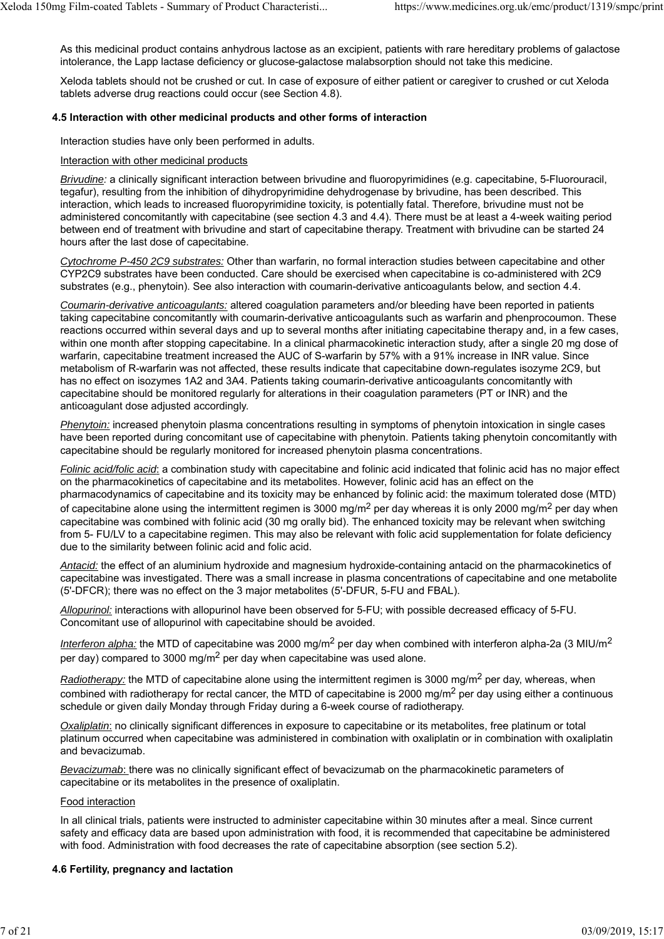As this medicinal product contains anhydrous lactose as an excipient, patients with rare hereditary problems of galactose intolerance, the Lapp lactase deficiency or glucose-galactose malabsorption should not take this medicine.

Xeloda tablets should not be crushed or cut. In case of exposure of either patient or caregiver to crushed or cut Xeloda tablets adverse drug reactions could occur (see Section 4.8).

#### **4.5 Interaction with other medicinal products and other forms of interaction**

Interaction studies have only been performed in adults.

#### Interaction with other medicinal products

*Brivudine:* a clinically significant interaction between brivudine and fluoropyrimidines (e.g. capecitabine, 5-Fluorouracil, tegafur), resulting from the inhibition of dihydropyrimidine dehydrogenase by brivudine, has been described. This interaction, which leads to increased fluoropyrimidine toxicity, is potentially fatal. Therefore, brivudine must not be administered concomitantly with capecitabine (see section 4.3 and 4.4). There must be at least a 4-week waiting period between end of treatment with brivudine and start of capecitabine therapy. Treatment with brivudine can be started 24 hours after the last dose of capecitabine.

*Cytochrome P-450 2C9 substrates:* Other than warfarin, no formal interaction studies between capecitabine and other CYP2C9 substrates have been conducted. Care should be exercised when capecitabine is co-administered with 2C9 substrates (e.g., phenytoin). See also interaction with coumarin-derivative anticoagulants below, and section 4.4.

*Coumarin-derivative anticoagulants:* altered coagulation parameters and/or bleeding have been reported in patients taking capecitabine concomitantly with coumarin-derivative anticoagulants such as warfarin and phenprocoumon. These reactions occurred within several days and up to several months after initiating capecitabine therapy and, in a few cases, within one month after stopping capecitabine. In a clinical pharmacokinetic interaction study, after a single 20 mg dose of warfarin, capecitabine treatment increased the AUC of S-warfarin by 57% with a 91% increase in INR value. Since metabolism of R-warfarin was not affected, these results indicate that capecitabine down-regulates isozyme 2C9, but has no effect on isozymes 1A2 and 3A4. Patients taking coumarin-derivative anticoagulants concomitantly with capecitabine should be monitored regularly for alterations in their coagulation parameters (PT or INR) and the anticoagulant dose adjusted accordingly.

*Phenytoin:* increased phenytoin plasma concentrations resulting in symptoms of phenytoin intoxication in single cases have been reported during concomitant use of capecitabine with phenytoin. Patients taking phenytoin concomitantly with capecitabine should be regularly monitored for increased phenytoin plasma concentrations.

*Folinic acid/folic acid*: a combination study with capecitabine and folinic acid indicated that folinic acid has no major effect on the pharmacokinetics of capecitabine and its metabolites. However, folinic acid has an effect on the pharmacodynamics of capecitabine and its toxicity may be enhanced by folinic acid: the maximum tolerated dose (MTD) of capecitabine alone using the intermittent regimen is 3000 mg/m<sup>2</sup> per day whereas it is only 2000 mg/m<sup>2</sup> per day when capecitabine was combined with folinic acid (30 mg orally bid). The enhanced toxicity may be relevant when switching from 5- FU/LV to a capecitabine regimen. This may also be relevant with folic acid supplementation for folate deficiency due to the similarity between folinic acid and folic acid.

*Antacid:* the effect of an aluminium hydroxide and magnesium hydroxide-containing antacid on the pharmacokinetics of capecitabine was investigated. There was a small increase in plasma concentrations of capecitabine and one metabolite (5'-DFCR); there was no effect on the 3 major metabolites (5'-DFUR, 5-FU and FBAL).

*Allopurinol:* interactions with allopurinol have been observed for 5-FU; with possible decreased efficacy of 5-FU. Concomitant use of allopurinol with capecitabine should be avoided.

*Interferon alpha:* the MTD of capecitabine was 2000 mg/m<sup>2</sup> per day when combined with interferon alpha-2a (3 MIU/m<sup>2</sup>) per day) compared to 3000 mg/m<sup>2</sup> per day when capecitabine was used alone.

*Radiotherapy:* the MTD of capecitabine alone using the intermittent regimen is 3000 mg/m<sup>2</sup> per day, whereas, when combined with radiotherapy for rectal cancer, the MTD of capecitabine is 2000 mg/m<sup>2</sup> per day using either a continuous schedule or given daily Monday through Friday during a 6-week course of radiotherapy.

*Oxaliplatin*: no clinically significant differences in exposure to capecitabine or its metabolites, free platinum or total platinum occurred when capecitabine was administered in combination with oxaliplatin or in combination with oxaliplatin and bevacizumab.

*Bevacizumab*: there was no clinically significant effect of bevacizumab on the pharmacokinetic parameters of capecitabine or its metabolites in the presence of oxaliplatin.

#### Food interaction

In all clinical trials, patients were instructed to administer capecitabine within 30 minutes after a meal. Since current safety and efficacy data are based upon administration with food, it is recommended that capecitabine be administered with food. Administration with food decreases the rate of capecitabine absorption (see section 5.2).

### **4.6 Fertility, pregnancy and lactation**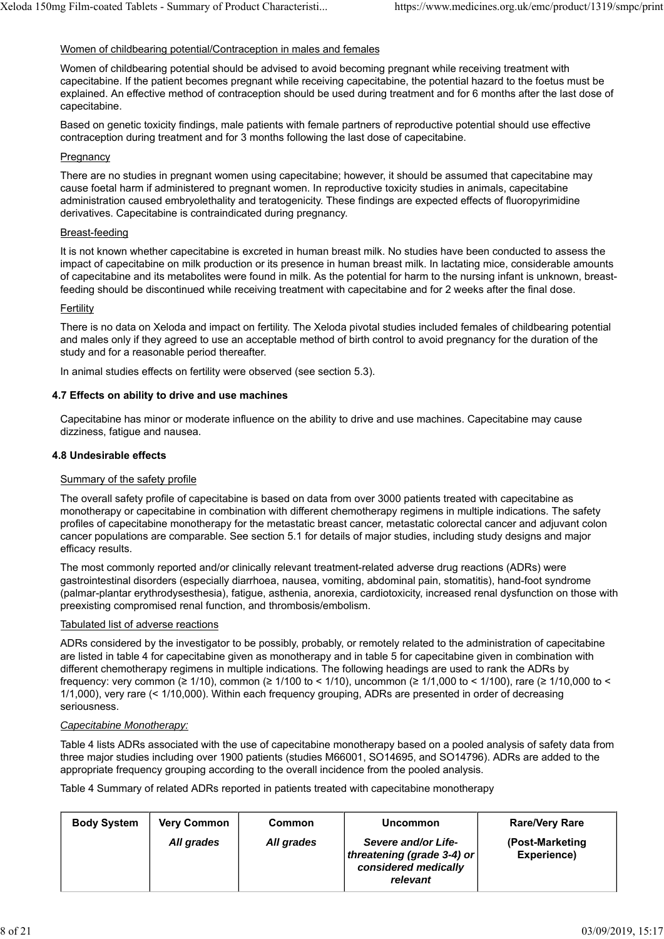#### Women of childbearing potential/Contraception in males and females

Women of childbearing potential should be advised to avoid becoming pregnant while receiving treatment with capecitabine. If the patient becomes pregnant while receiving capecitabine, the potential hazard to the foetus must be explained. An effective method of contraception should be used during treatment and for 6 months after the last dose of capecitabine.

Based on genetic toxicity findings, male patients with female partners of reproductive potential should use effective contraception during treatment and for 3 months following the last dose of capecitabine.

#### Pregnancy

There are no studies in pregnant women using capecitabine; however, it should be assumed that capecitabine may cause foetal harm if administered to pregnant women. In reproductive toxicity studies in animals, capecitabine administration caused embryolethality and teratogenicity. These findings are expected effects of fluoropyrimidine derivatives. Capecitabine is contraindicated during pregnancy.

#### Breast-feeding

It is not known whether capecitabine is excreted in human breast milk. No studies have been conducted to assess the impact of capecitabine on milk production or its presence in human breast milk. In lactating mice, considerable amounts of capecitabine and its metabolites were found in milk. As the potential for harm to the nursing infant is unknown, breastfeeding should be discontinued while receiving treatment with capecitabine and for 2 weeks after the final dose.

#### **Fertility**

There is no data on Xeloda and impact on fertility. The Xeloda pivotal studies included females of childbearing potential and males only if they agreed to use an acceptable method of birth control to avoid pregnancy for the duration of the study and for a reasonable period thereafter.

In animal studies effects on fertility were observed (see section 5.3).

#### **4.7 Effects on ability to drive and use machines**

Capecitabine has minor or moderate influence on the ability to drive and use machines. Capecitabine may cause dizziness, fatigue and nausea.

#### **4.8 Undesirable effects**

#### Summary of the safety profile

The overall safety profile of capecitabine is based on data from over 3000 patients treated with capecitabine as monotherapy or capecitabine in combination with different chemotherapy regimens in multiple indications. The safety profiles of capecitabine monotherapy for the metastatic breast cancer, metastatic colorectal cancer and adjuvant colon cancer populations are comparable. See section 5.1 for details of major studies, including study designs and major efficacy results.

The most commonly reported and/or clinically relevant treatment-related adverse drug reactions (ADRs) were gastrointestinal disorders (especially diarrhoea, nausea, vomiting, abdominal pain, stomatitis), hand-foot syndrome (palmar-plantar erythrodysesthesia), fatigue, asthenia, anorexia, cardiotoxicity, increased renal dysfunction on those with preexisting compromised renal function, and thrombosis/embolism.

#### Tabulated list of adverse reactions

ADRs considered by the investigator to be possibly, probably, or remotely related to the administration of capecitabine are listed in table 4 for capecitabine given as monotherapy and in table 5 for capecitabine given in combination with different chemotherapy regimens in multiple indications. The following headings are used to rank the ADRs by frequency: very common (≥ 1/10), common (≥ 1/100 to < 1/10), uncommon (≥ 1/1,000 to < 1/100), rare (≥ 1/10,000 to < 1/1,000), very rare (< 1/10,000). Within each frequency grouping, ADRs are presented in order of decreasing seriousness.

#### *Capecitabine Monotherapy:*

Table 4 lists ADRs associated with the use of capecitabine monotherapy based on a pooled analysis of safety data from three major studies including over 1900 patients (studies M66001, SO14695, and SO14796). ADRs are added to the appropriate frequency grouping according to the overall incidence from the pooled analysis.

Table 4 Summary of related ADRs reported in patients treated with capecitabine monotherapy

| <b>Body System</b> | <b>Very Common</b> | Common     | <b>Uncommon</b>                                                                       | <b>Rare/Very Rare</b>           |
|--------------------|--------------------|------------|---------------------------------------------------------------------------------------|---------------------------------|
|                    | All grades         | All grades | Severe and/or Life-<br>threatening (grade 3-4) or<br>considered medically<br>relevant | (Post-Marketing)<br>Experience) |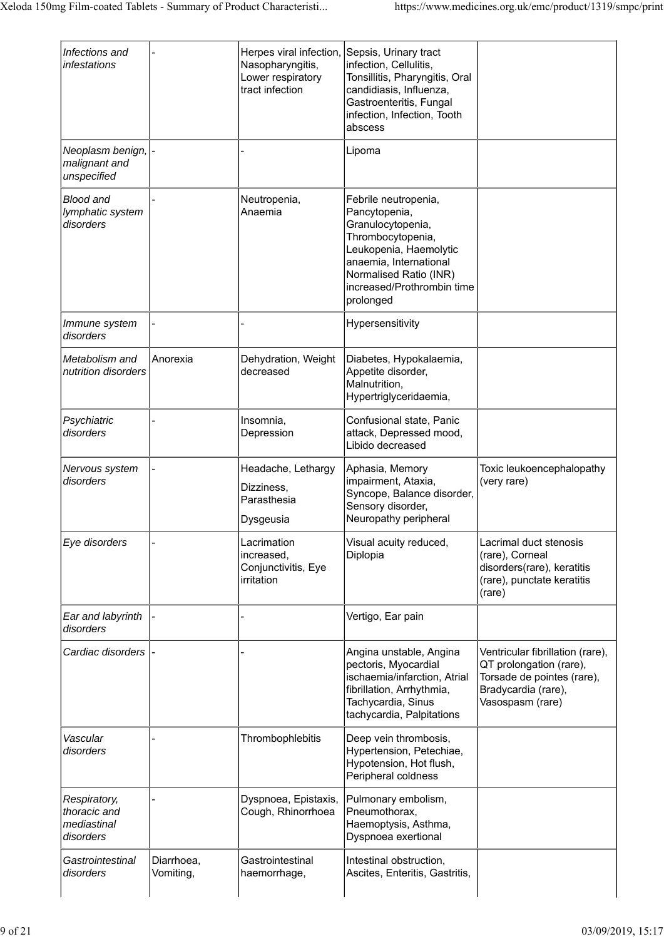| Infections and<br>infestations                           |                         | Herpes viral infection,<br>Nasopharyngitis,<br>Lower respiratory<br>tract infection | Sepsis, Urinary tract<br>infection, Cellulitis,<br>Tonsillitis, Pharyngitis, Oral<br>candidiasis, Influenza,<br>Gastroenteritis, Fungal<br>infection, Infection, Tooth<br>abscess                        |                                                                                                                                      |
|----------------------------------------------------------|-------------------------|-------------------------------------------------------------------------------------|----------------------------------------------------------------------------------------------------------------------------------------------------------------------------------------------------------|--------------------------------------------------------------------------------------------------------------------------------------|
| Neoplasm benign,<br>malignant and<br>unspecified         |                         |                                                                                     | Lipoma                                                                                                                                                                                                   |                                                                                                                                      |
| <b>Blood and</b><br>lymphatic system<br>disorders        |                         | Neutropenia,<br>Anaemia                                                             | Febrile neutropenia,<br>Pancytopenia,<br>Granulocytopenia,<br>Thrombocytopenia,<br>Leukopenia, Haemolytic<br>anaemia, International<br>Normalised Ratio (INR)<br>increased/Prothrombin time<br>prolonged |                                                                                                                                      |
| Immune system<br>disorders                               |                         |                                                                                     | Hypersensitivity                                                                                                                                                                                         |                                                                                                                                      |
| Metabolism and<br>nutrition disorders                    | Anorexia                | Dehydration, Weight<br>decreased                                                    | Diabetes, Hypokalaemia,<br>Appetite disorder,<br>Malnutrition,<br>Hypertriglyceridaemia,                                                                                                                 |                                                                                                                                      |
| Psychiatric<br>disorders                                 |                         | Insomnia,<br>Depression                                                             | Confusional state, Panic<br>attack, Depressed mood,<br>Libido decreased                                                                                                                                  |                                                                                                                                      |
| Nervous system<br>disorders                              |                         | Headache, Lethargy<br>Dizziness,<br>Parasthesia<br>Dysgeusia                        | Aphasia, Memory<br>impairment, Ataxia,<br>Syncope, Balance disorder,<br>Sensory disorder,<br>Neuropathy peripheral                                                                                       | Toxic leukoencephalopathy<br>(very rare)                                                                                             |
| Eye disorders                                            |                         | Lacrimation<br>increased,<br>Conjunctivitis, Eye<br>irritation                      | Visual acuity reduced,<br>Diplopia                                                                                                                                                                       | Lacrimal duct stenosis<br>(rare), Corneal<br>disorders(rare), keratitis<br>(rare), punctate keratitis<br>(rare)                      |
| Ear and labyrinth<br>disorders                           |                         |                                                                                     | Vertigo, Ear pain                                                                                                                                                                                        |                                                                                                                                      |
| Cardiac disorders                                        |                         |                                                                                     | Angina unstable, Angina<br>pectoris, Myocardial<br>ischaemia/infarction, Atrial<br>fibrillation, Arrhythmia,<br>Tachycardia, Sinus<br>tachycardia, Palpitations                                          | Ventricular fibrillation (rare),<br>QT prolongation (rare),<br>Torsade de pointes (rare),<br>Bradycardia (rare),<br>Vasospasm (rare) |
| Vascular<br>disorders                                    |                         | Thrombophlebitis                                                                    | Deep vein thrombosis,<br>Hypertension, Petechiae,<br>Hypotension, Hot flush,<br>Peripheral coldness                                                                                                      |                                                                                                                                      |
| Respiratory,<br>thoracic and<br>mediastinal<br>disorders |                         | Dyspnoea, Epistaxis,<br>Cough, Rhinorrhoea                                          | Pulmonary embolism,<br>Pneumothorax,<br>Haemoptysis, Asthma,<br>Dyspnoea exertional                                                                                                                      |                                                                                                                                      |
| Gastrointestinal<br>disorders                            | Diarrhoea,<br>Vomiting, | Gastrointestinal<br>haemorrhage,                                                    | Intestinal obstruction,<br>Ascites, Enteritis, Gastritis,                                                                                                                                                |                                                                                                                                      |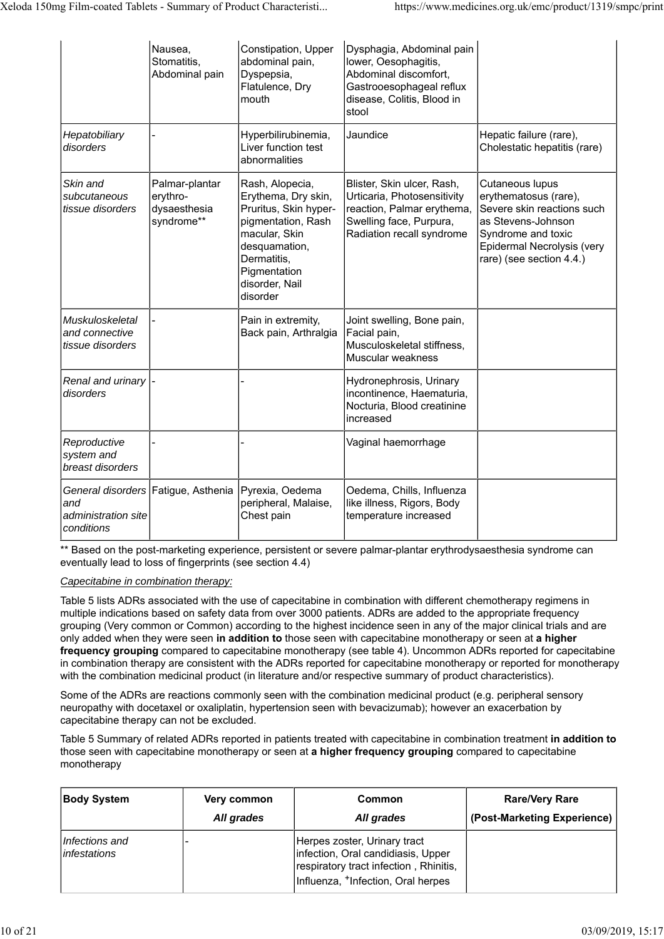|                                                                                 | Nausea,<br>Stomatitis,<br>Abdominal pain                 | Constipation, Upper<br>abdominal pain,<br>Dyspepsia,<br>Flatulence, Dry<br>mouth                                                                                                     | Dysphagia, Abdominal pain<br>lower, Oesophagitis,<br>Abdominal discomfort,<br>Gastrooesophageal reflux<br>disease, Colitis, Blood in<br>stool   |                                                                                                                                                                              |
|---------------------------------------------------------------------------------|----------------------------------------------------------|--------------------------------------------------------------------------------------------------------------------------------------------------------------------------------------|-------------------------------------------------------------------------------------------------------------------------------------------------|------------------------------------------------------------------------------------------------------------------------------------------------------------------------------|
| Hepatobiliary<br>disorders                                                      |                                                          | Hyperbilirubinemia,<br>Liver function test<br>abnormalities                                                                                                                          | Jaundice                                                                                                                                        | Hepatic failure (rare),<br>Cholestatic hepatitis (rare)                                                                                                                      |
| Skin and<br>subcutaneous<br>tissue disorders                                    | Palmar-plantar<br>erythro-<br>dysaesthesia<br>syndrome** | Rash, Alopecia,<br>Erythema, Dry skin,<br>Pruritus, Skin hyper-<br>pigmentation, Rash<br>macular, Skin<br>desquamation,<br>Dermatitis,<br>Pigmentation<br>disorder, Nail<br>disorder | Blister, Skin ulcer, Rash,<br>Urticaria, Photosensitivity<br>reaction, Palmar erythema,<br>Swelling face, Purpura,<br>Radiation recall syndrome | Cutaneous lupus<br>erythematosus (rare),<br>Severe skin reactions such<br>as Stevens-Johnson<br>Syndrome and toxic<br>Epidermal Necrolysis (very<br>rare) (see section 4.4.) |
| Muskuloskeletal<br>and connective<br>tissue disorders                           |                                                          | Pain in extremity,<br>Back pain, Arthralgia                                                                                                                                          | Joint swelling, Bone pain,<br>Facial pain,<br>Musculoskeletal stiffness,<br>Muscular weakness                                                   |                                                                                                                                                                              |
| Renal and urinary  -<br>disorders                                               |                                                          |                                                                                                                                                                                      | Hydronephrosis, Urinary<br>incontinence, Haematuria,<br>Nocturia, Blood creatinine<br>increased                                                 |                                                                                                                                                                              |
| Reproductive<br>system and<br>breast disorders                                  |                                                          |                                                                                                                                                                                      | Vaginal haemorrhage                                                                                                                             |                                                                                                                                                                              |
| General disorders Fatigue, Asthenia<br>and<br>administration site<br>conditions |                                                          | Pyrexia, Oedema<br>peripheral, Malaise,<br>Chest pain                                                                                                                                | Oedema, Chills, Influenza<br>like illness, Rigors, Body<br>temperature increased                                                                |                                                                                                                                                                              |

\*\* Based on the post-marketing experience, persistent or severe palmar-plantar erythrodysaesthesia syndrome can eventually lead to loss of fingerprints (see section 4.4)

### *Capecitabine in combination therapy:*

Table 5 lists ADRs associated with the use of capecitabine in combination with different chemotherapy regimens in multiple indications based on safety data from over 3000 patients. ADRs are added to the appropriate frequency grouping (Very common or Common) according to the highest incidence seen in any of the major clinical trials and are only added when they were seen **in addition to** those seen with capecitabine monotherapy or seen at **a higher frequency grouping** compared to capecitabine monotherapy (see table 4). Uncommon ADRs reported for capecitabine in combination therapy are consistent with the ADRs reported for capecitabine monotherapy or reported for monotherapy with the combination medicinal product (in literature and/or respective summary of product characteristics).

Some of the ADRs are reactions commonly seen with the combination medicinal product (e.g. peripheral sensory neuropathy with docetaxel or oxaliplatin, hypertension seen with bevacizumab); however an exacerbation by capecitabine therapy can not be excluded.

Table 5 Summary of related ADRs reported in patients treated with capecitabine in combination treatment **in addition to** those seen with capecitabine monotherapy or seen at **a higher frequency grouping** compared to capecitabine monotherapy

| <b>Body System</b>                    | Very common | Common                                                                                                                                                         | <b>Rare/Very Rare</b>       |
|---------------------------------------|-------------|----------------------------------------------------------------------------------------------------------------------------------------------------------------|-----------------------------|
|                                       | All grades  | All grades                                                                                                                                                     | (Post-Marketing Experience) |
| Infections and<br><i>infestations</i> |             | Herpes zoster, Urinary tract<br>infection, Oral candidiasis, Upper<br>respiratory tract infection, Rhinitis,<br>Influenza, <sup>+</sup> Infection, Oral herpes |                             |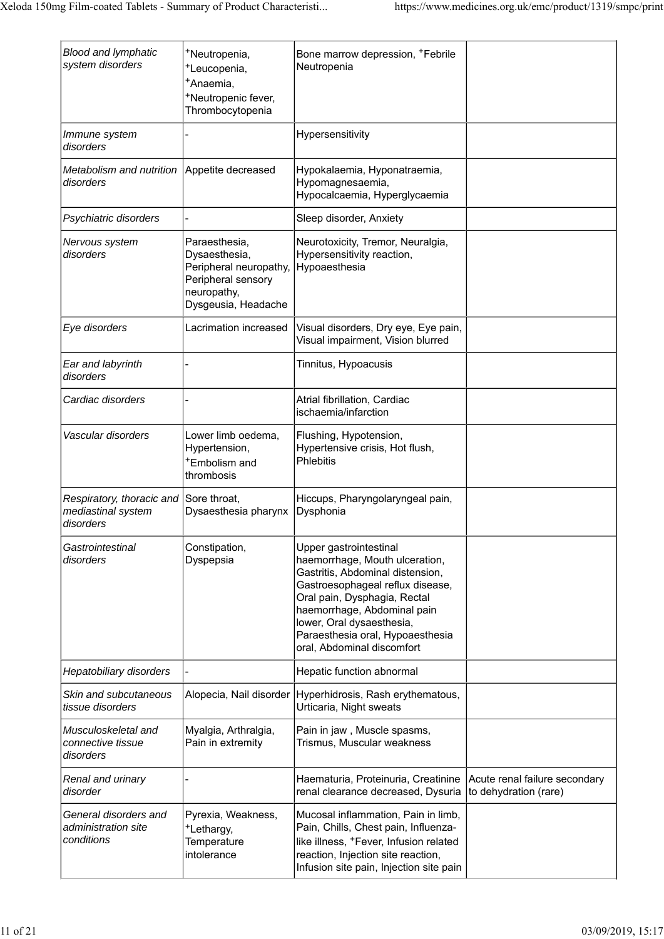| <b>Blood and lymphatic</b><br>system disorders               | *Neutropenia,<br><sup>+</sup> Leucopenia,<br><sup>+</sup> Anaemia,<br>*Neutropenic fever,<br>Thrombocytopenia        | Bone marrow depression, <sup>+</sup> Febrile<br>Neutropenia                                                                                                                                                                                                                                    |                                                        |
|--------------------------------------------------------------|----------------------------------------------------------------------------------------------------------------------|------------------------------------------------------------------------------------------------------------------------------------------------------------------------------------------------------------------------------------------------------------------------------------------------|--------------------------------------------------------|
| Immune system<br>disorders                                   |                                                                                                                      | Hypersensitivity                                                                                                                                                                                                                                                                               |                                                        |
| Metabolism and nutrition Appetite decreased<br>disorders     |                                                                                                                      | Hypokalaemia, Hyponatraemia,<br>Hypomagnesaemia,<br>Hypocalcaemia, Hyperglycaemia                                                                                                                                                                                                              |                                                        |
| Psychiatric disorders                                        |                                                                                                                      | Sleep disorder, Anxiety                                                                                                                                                                                                                                                                        |                                                        |
| Nervous system<br>disorders                                  | Paraesthesia,<br>Dysaesthesia,<br>Peripheral neuropathy,<br>Peripheral sensory<br>neuropathy,<br>Dysgeusia, Headache | Neurotoxicity, Tremor, Neuralgia,<br>Hypersensitivity reaction,<br>Hypoaesthesia                                                                                                                                                                                                               |                                                        |
| Eye disorders                                                | Lacrimation increased                                                                                                | Visual disorders, Dry eye, Eye pain,<br>Visual impairment, Vision blurred                                                                                                                                                                                                                      |                                                        |
| Ear and labyrinth<br>disorders                               |                                                                                                                      | Tinnitus, Hypoacusis                                                                                                                                                                                                                                                                           |                                                        |
| Cardiac disorders                                            |                                                                                                                      | Atrial fibrillation, Cardiac<br>ischaemia/infarction                                                                                                                                                                                                                                           |                                                        |
| Vascular disorders                                           | Lower limb oedema,<br>Hypertension,<br><sup>+</sup> Embolism and<br>thrombosis                                       | Flushing, Hypotension,<br>Hypertensive crisis, Hot flush,<br><b>Phlebitis</b>                                                                                                                                                                                                                  |                                                        |
| Respiratory, thoracic and<br>mediastinal system<br>disorders | Sore throat,<br>Dysaesthesia pharynx                                                                                 | Hiccups, Pharyngolaryngeal pain,<br>Dysphonia                                                                                                                                                                                                                                                  |                                                        |
| Gastrointestinal<br>disorders                                | Constipation,<br>Dyspepsia                                                                                           | Upper gastrointestinal<br>haemorrhage, Mouth ulceration,<br>Gastritis, Abdominal distension,<br>Gastroesophageal reflux disease,<br>Oral pain, Dysphagia, Rectal<br>haemorrhage, Abdominal pain<br>lower, Oral dysaesthesia,<br>Paraesthesia oral, Hypoaesthesia<br>oral, Abdominal discomfort |                                                        |
| Hepatobiliary disorders                                      |                                                                                                                      | Hepatic function abnormal                                                                                                                                                                                                                                                                      |                                                        |
| Skin and subcutaneous<br>tissue disorders                    | Alopecia, Nail disorder                                                                                              | Hyperhidrosis, Rash erythematous,<br>Urticaria, Night sweats                                                                                                                                                                                                                                   |                                                        |
| Musculoskeletal and<br>connective tissue<br>disorders        | Myalgia, Arthralgia,<br>Pain in extremity                                                                            | Pain in jaw, Muscle spasms,<br>Trismus, Muscular weakness                                                                                                                                                                                                                                      |                                                        |
| Renal and urinary<br>disorder                                |                                                                                                                      | Haematuria, Proteinuria, Creatinine<br>renal clearance decreased, Dysuria                                                                                                                                                                                                                      | Acute renal failure secondary<br>to dehydration (rare) |
| General disorders and<br>administration site<br>conditions   | Pyrexia, Weakness,<br>+Lethargy,<br>Temperature<br>intolerance                                                       | Mucosal inflammation, Pain in limb,<br>Pain, Chills, Chest pain, Influenza-<br>like illness, <sup>+</sup> Fever, Infusion related<br>reaction, Injection site reaction,<br>Infusion site pain, Injection site pain                                                                             |                                                        |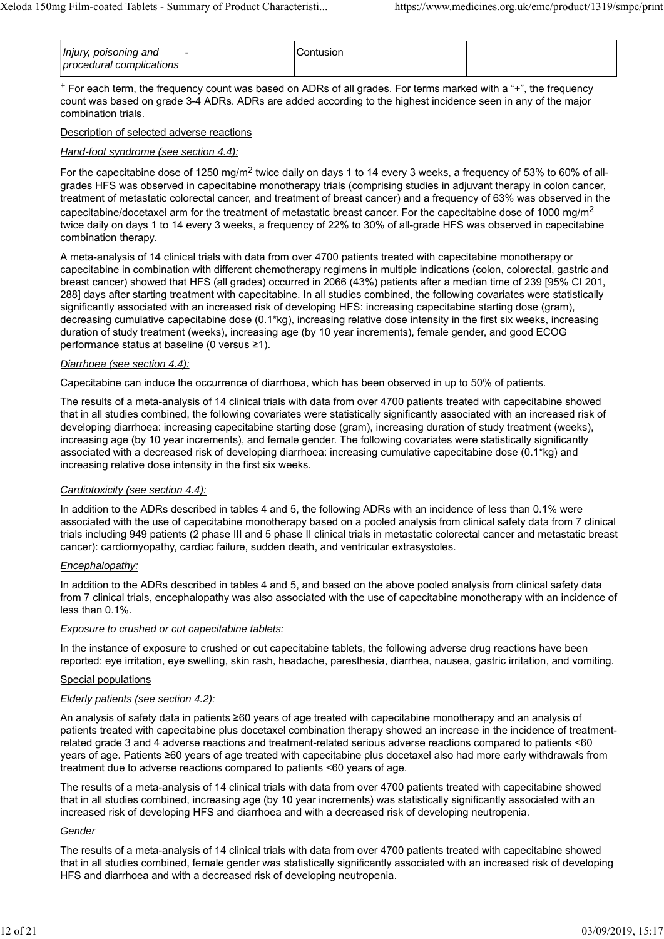| Injury, poisoning and<br>procedural complications |  | Contusion. |  |
|---------------------------------------------------|--|------------|--|
|---------------------------------------------------|--|------------|--|

+ For each term, the frequency count was based on ADRs of all grades. For terms marked with a "+", the frequency count was based on grade 3-4 ADRs. ADRs are added according to the highest incidence seen in any of the major combination trials.

#### Description of selected adverse reactions

#### *Hand-foot syndrome (see section 4.4):*

For the capecitabine dose of 1250 mg/m<sup>2</sup> twice daily on days 1 to 14 every 3 weeks, a frequency of 53% to 60% of allgrades HFS was observed in capecitabine monotherapy trials (comprising studies in adjuvant therapy in colon cancer, treatment of metastatic colorectal cancer, and treatment of breast cancer) and a frequency of 63% was observed in the capecitabine/docetaxel arm for the treatment of metastatic breast cancer. For the capecitabine dose of 1000 mg/m<sup>2</sup> twice daily on days 1 to 14 every 3 weeks, a frequency of 22% to 30% of all-grade HFS was observed in capecitabine combination therapy.

A meta-analysis of 14 clinical trials with data from over 4700 patients treated with capecitabine monotherapy or capecitabine in combination with different chemotherapy regimens in multiple indications (colon, colorectal, gastric and breast cancer) showed that HFS (all grades) occurred in 2066 (43%) patients after a median time of 239 [95% CI 201, 288] days after starting treatment with capecitabine. In all studies combined, the following covariates were statistically significantly associated with an increased risk of developing HFS: increasing capecitabine starting dose (gram), decreasing cumulative capecitabine dose (0.1\*kg), increasing relative dose intensity in the first six weeks, increasing duration of study treatment (weeks), increasing age (by 10 year increments), female gender, and good ECOG performance status at baseline (0 versus ≥1).

#### *Diarrhoea (see section 4.4):*

Capecitabine can induce the occurrence of diarrhoea, which has been observed in up to 50% of patients.

The results of a meta-analysis of 14 clinical trials with data from over 4700 patients treated with capecitabine showed that in all studies combined, the following covariates were statistically significantly associated with an increased risk of developing diarrhoea: increasing capecitabine starting dose (gram), increasing duration of study treatment (weeks), increasing age (by 10 year increments), and female gender. The following covariates were statistically significantly associated with a decreased risk of developing diarrhoea: increasing cumulative capecitabine dose (0.1\*kg) and increasing relative dose intensity in the first six weeks.

#### *Cardiotoxicity (see section 4.4):*

In addition to the ADRs described in tables 4 and 5, the following ADRs with an incidence of less than 0.1% were associated with the use of capecitabine monotherapy based on a pooled analysis from clinical safety data from 7 clinical trials including 949 patients (2 phase III and 5 phase II clinical trials in metastatic colorectal cancer and metastatic breast cancer): cardiomyopathy, cardiac failure, sudden death, and ventricular extrasystoles.

#### *Encephalopathy:*

In addition to the ADRs described in tables 4 and 5, and based on the above pooled analysis from clinical safety data from 7 clinical trials, encephalopathy was also associated with the use of capecitabine monotherapy with an incidence of less than 0.1%.

#### *Exposure to crushed or cut capecitabine tablets:*

In the instance of exposure to crushed or cut capecitabine tablets, the following adverse drug reactions have been reported: eye irritation, eye swelling, skin rash, headache, paresthesia, diarrhea, nausea, gastric irritation, and vomiting.

### Special populations

#### *Elderly patients (see section 4.2):*

An analysis of safety data in patients ≥60 years of age treated with capecitabine monotherapy and an analysis of patients treated with capecitabine plus docetaxel combination therapy showed an increase in the incidence of treatmentrelated grade 3 and 4 adverse reactions and treatment-related serious adverse reactions compared to patients <60 years of age. Patients ≥60 years of age treated with capecitabine plus docetaxel also had more early withdrawals from treatment due to adverse reactions compared to patients <60 years of age.

The results of a meta-analysis of 14 clinical trials with data from over 4700 patients treated with capecitabine showed that in all studies combined, increasing age (by 10 year increments) was statistically significantly associated with an increased risk of developing HFS and diarrhoea and with a decreased risk of developing neutropenia.

#### *Gender*

The results of a meta-analysis of 14 clinical trials with data from over 4700 patients treated with capecitabine showed that in all studies combined, female gender was statistically significantly associated with an increased risk of developing HFS and diarrhoea and with a decreased risk of developing neutropenia.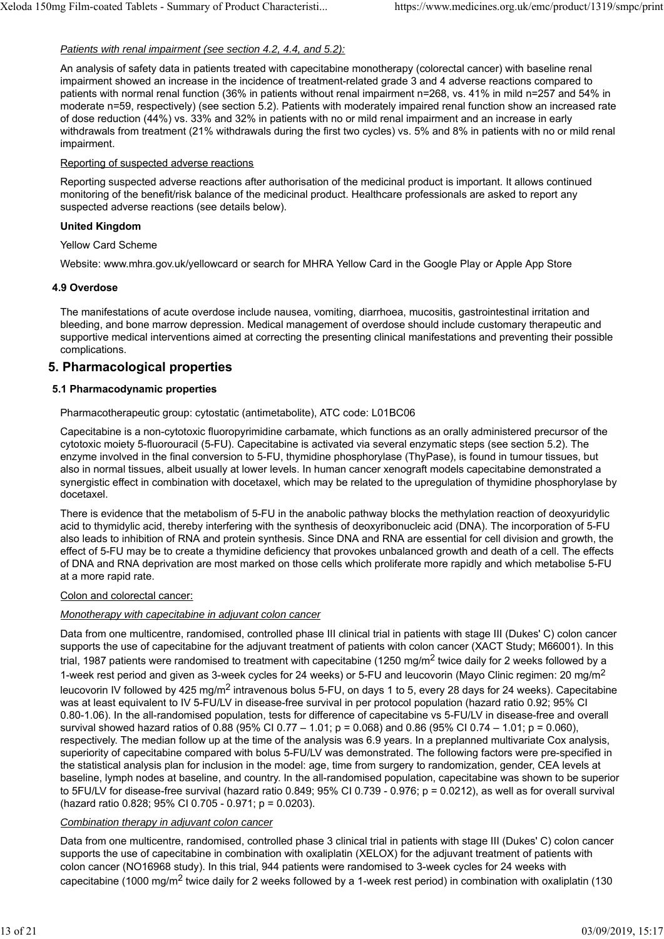### *Patients with renal impairment (see section 4.2, 4.4, and 5.2):*

An analysis of safety data in patients treated with capecitabine monotherapy (colorectal cancer) with baseline renal impairment showed an increase in the incidence of treatment-related grade 3 and 4 adverse reactions compared to patients with normal renal function (36% in patients without renal impairment n=268, vs. 41% in mild n=257 and 54% in moderate n=59, respectively) (see section 5.2). Patients with moderately impaired renal function show an increased rate of dose reduction (44%) vs. 33% and 32% in patients with no or mild renal impairment and an increase in early withdrawals from treatment (21% withdrawals during the first two cycles) vs. 5% and 8% in patients with no or mild renal impairment.

#### Reporting of suspected adverse reactions

Reporting suspected adverse reactions after authorisation of the medicinal product is important. It allows continued monitoring of the benefit/risk balance of the medicinal product. Healthcare professionals are asked to report any suspected adverse reactions (see details below).

### **United Kingdom**

### Yellow Card Scheme

Website: www.mhra.gov.uk/yellowcard or search for MHRA Yellow Card in the Google Play or Apple App Store

### **4.9 Overdose**

The manifestations of acute overdose include nausea, vomiting, diarrhoea, mucositis, gastrointestinal irritation and bleeding, and bone marrow depression. Medical management of overdose should include customary therapeutic and supportive medical interventions aimed at correcting the presenting clinical manifestations and preventing their possible complications.

# **5. Pharmacological properties**

#### **5.1 Pharmacodynamic properties**

#### Pharmacotherapeutic group: cytostatic (antimetabolite), ATC code: L01BC06

Capecitabine is a non-cytotoxic fluoropyrimidine carbamate, which functions as an orally administered precursor of the cytotoxic moiety 5-fluorouracil (5-FU). Capecitabine is activated via several enzymatic steps (see section 5.2). The enzyme involved in the final conversion to 5-FU, thymidine phosphorylase (ThyPase), is found in tumour tissues, but also in normal tissues, albeit usually at lower levels. In human cancer xenograft models capecitabine demonstrated a synergistic effect in combination with docetaxel, which may be related to the upregulation of thymidine phosphorylase by docetaxel.

There is evidence that the metabolism of 5-FU in the anabolic pathway blocks the methylation reaction of deoxyuridylic acid to thymidylic acid, thereby interfering with the synthesis of deoxyribonucleic acid (DNA). The incorporation of 5-FU also leads to inhibition of RNA and protein synthesis. Since DNA and RNA are essential for cell division and growth, the effect of 5-FU may be to create a thymidine deficiency that provokes unbalanced growth and death of a cell. The effects of DNA and RNA deprivation are most marked on those cells which proliferate more rapidly and which metabolise 5-FU at a more rapid rate.

### Colon and colorectal cancer:

### *Monotherapy with capecitabine in adjuvant colon cancer*

Data from one multicentre, randomised, controlled phase III clinical trial in patients with stage III (Dukes' C) colon cancer supports the use of capecitabine for the adjuvant treatment of patients with colon cancer (XACT Study; M66001). In this trial, 1987 patients were randomised to treatment with capecitabine (1250 mg/m<sup>2</sup> twice daily for 2 weeks followed by a 1-week rest period and given as 3-week cycles for 24 weeks) or 5-FU and leucovorin (Mayo Clinic regimen: 20 mg/m<sup>2</sup> leucovorin IV followed by 425 mg/m<sup>2</sup> intravenous bolus 5-FU, on days 1 to 5, every 28 days for 24 weeks). Capecitabine was at least equivalent to IV 5-FU/LV in disease-free survival in per protocol population (hazard ratio 0.92; 95% CI 0.80-1.06). In the all-randomised population, tests for difference of capecitabine vs 5-FU/LV in disease-free and overall survival showed hazard ratios of 0.88 (95% CI 0.77 – 1.01; p = 0.068) and 0.86 (95% CI 0.74 – 1.01; p = 0.060), respectively. The median follow up at the time of the analysis was 6.9 years. In a preplanned multivariate Cox analysis, superiority of capecitabine compared with bolus 5-FU/LV was demonstrated. The following factors were pre-specified in the statistical analysis plan for inclusion in the model: age, time from surgery to randomization, gender, CEA levels at baseline, lymph nodes at baseline, and country. In the all-randomised population, capecitabine was shown to be superior to 5FU/LV for disease-free survival (hazard ratio 0.849; 95% CI 0.739 - 0.976; p = 0.0212), as well as for overall survival (hazard ratio 0.828; 95% CI 0.705 - 0.971; p = 0.0203).

### *Combination therapy in adjuvant colon cancer*

Data from one multicentre, randomised, controlled phase 3 clinical trial in patients with stage III (Dukes' C) colon cancer supports the use of capecitabine in combination with oxaliplatin (XELOX) for the adjuvant treatment of patients with colon cancer (NO16968 study). In this trial, 944 patients were randomised to 3-week cycles for 24 weeks with capecitabine (1000 mg/m<sup>2</sup> twice daily for 2 weeks followed by a 1-week rest period) in combination with oxaliplatin (130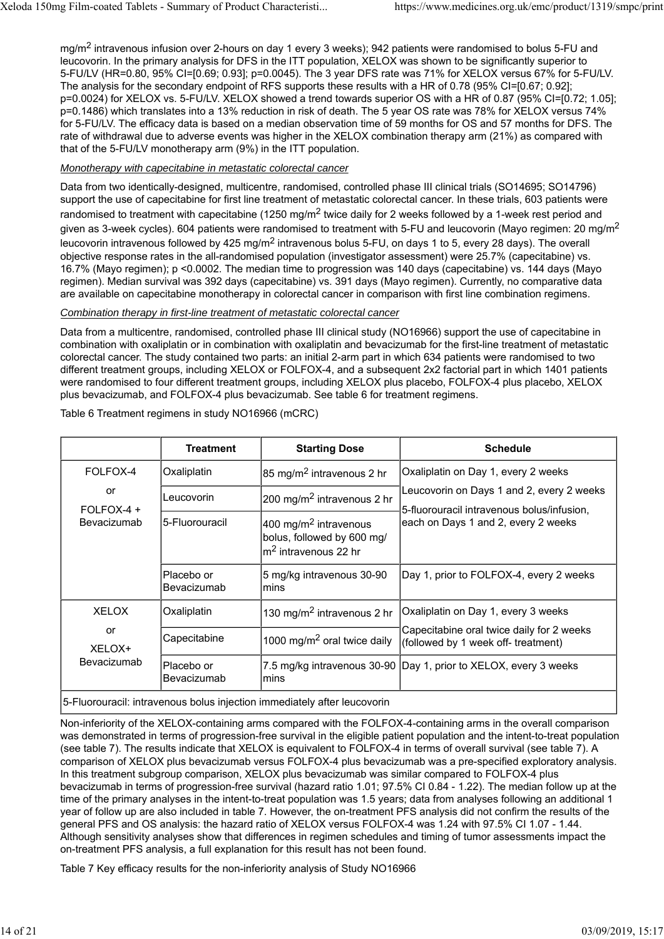mg/m<sup>2</sup> intravenous infusion over 2-hours on day 1 every 3 weeks); 942 patients were randomised to bolus 5-FU and leucovorin. In the primary analysis for DFS in the ITT population, XELOX was shown to be significantly superior to 5-FU/LV (HR=0.80, 95% CI=[0.69; 0.93]; p=0.0045). The 3 year DFS rate was 71% for XELOX versus 67% for 5-FU/LV. The analysis for the secondary endpoint of RFS supports these results with a HR of 0.78 (95% CI=[0.67; 0.92]; p=0.0024) for XELOX vs. 5-FU/LV. XELOX showed a trend towards superior OS with a HR of 0.87 (95% CI=[0.72; 1.05]; p=0.1486) which translates into a 13% reduction in risk of death. The 5 year OS rate was 78% for XELOX versus 74% for 5-FU/LV. The efficacy data is based on a median observation time of 59 months for OS and 57 months for DFS. The rate of withdrawal due to adverse events was higher in the XELOX combination therapy arm (21%) as compared with that of the 5-FU/LV monotherapy arm (9%) in the ITT population.

#### *Monotherapy with capecitabine in metastatic colorectal cancer*

Data from two identically-designed, multicentre, randomised, controlled phase III clinical trials (SO14695; SO14796) support the use of capecitabine for first line treatment of metastatic colorectal cancer. In these trials, 603 patients were randomised to treatment with capecitabine (1250 mg/m<sup>2</sup> twice daily for 2 weeks followed by a 1-week rest period and given as 3-week cycles). 604 patients were randomised to treatment with 5-FU and leucovorin (Mayo regimen: 20 mg/m<sup>2</sup> leucovorin intravenous followed by 425 mg/m<sup>2</sup> intravenous bolus 5-FU, on days 1 to 5, every 28 days). The overall objective response rates in the all-randomised population (investigator assessment) were 25.7% (capecitabine) vs. 16.7% (Mayo regimen); p <0.0002. The median time to progression was 140 days (capecitabine) vs. 144 days (Mayo regimen). Median survival was 392 days (capecitabine) vs. 391 days (Mayo regimen). Currently, no comparative data are available on capecitabine monotherapy in colorectal cancer in comparison with first line combination regimens.

#### *Combination therapy in first-line treatment of metastatic colorectal cancer*

Data from a multicentre, randomised, controlled phase III clinical study (NO16966) support the use of capecitabine in combination with oxaliplatin or in combination with oxaliplatin and bevacizumab for the first-line treatment of metastatic colorectal cancer. The study contained two parts: an initial 2-arm part in which 634 patients were randomised to two different treatment groups, including XELOX or FOLFOX-4, and a subsequent 2x2 factorial part in which 1401 patients were randomised to four different treatment groups, including XELOX plus placebo, FOLFOX-4 plus placebo, XELOX plus bevacizumab, and FOLFOX-4 plus bevacizumab. See table 6 for treatment regimens.

|                  | <b>Treatment</b>                                                                                                       | <b>Starting Dose</b>                    | <b>Schedule</b>                                                                         |
|------------------|------------------------------------------------------------------------------------------------------------------------|-----------------------------------------|-----------------------------------------------------------------------------------------|
| FOLFOX-4         | Oxaliplatin                                                                                                            | 85 mg/m <sup>2</sup> intravenous 2 hr   | Oxaliplatin on Day 1, every 2 weeks                                                     |
| or<br>FOLFOX-4 + | Leucovorin                                                                                                             | 200 mg/m <sup>2</sup> intravenous 2 hr  | Leucovorin on Days 1 and 2, every 2 weeks<br>5-fluorouracil intravenous bolus/infusion, |
| Bevacizumab      | 5-Fluorouracil<br>400 mg/m <sup>2</sup> intravenous<br>bolus, followed by 600 mg/<br>lm <sup>2</sup> intravenous 22 hr | each on Days 1 and 2, every 2 weeks     |                                                                                         |
|                  | Placebo or<br>Bevacizumab                                                                                              | 5 mg/kg intravenous 30-90<br>lmins      | Day 1, prior to FOLFOX-4, every 2 weeks                                                 |
| <b>XELOX</b>     | Oxaliplatin                                                                                                            | 130 mg/m <sup>2</sup> intravenous 2 hr  | Oxaliplatin on Day 1, every 3 weeks                                                     |
| or<br>XELOX+     | Capecitabine                                                                                                           | 1000 mg/m <sup>2</sup> oral twice daily | Capecitabine oral twice daily for 2 weeks<br>(followed by 1 week off- treatment)        |
| Bevacizumab      | Placebo or<br>Bevacizumab                                                                                              | lmins                                   | 7.5 mg/kg intravenous 30-90 Day 1, prior to XELOX, every 3 weeks                        |

Table 6 Treatment regimens in study NO16966 (mCRC)

5-Fluorouracil: intravenous bolus injection immediately after leucovorin

Non-inferiority of the XELOX-containing arms compared with the FOLFOX-4-containing arms in the overall comparison was demonstrated in terms of progression-free survival in the eligible patient population and the intent-to-treat population (see table 7). The results indicate that XELOX is equivalent to FOLFOX-4 in terms of overall survival (see table 7). A comparison of XELOX plus bevacizumab versus FOLFOX-4 plus bevacizumab was a pre-specified exploratory analysis. In this treatment subgroup comparison, XELOX plus bevacizumab was similar compared to FOLFOX-4 plus bevacizumab in terms of progression-free survival (hazard ratio 1.01; 97.5% CI 0.84 - 1.22). The median follow up at the time of the primary analyses in the intent-to-treat population was 1.5 years; data from analyses following an additional 1 year of follow up are also included in table 7. However, the on-treatment PFS analysis did not confirm the results of the general PFS and OS analysis: the hazard ratio of XELOX versus FOLFOX-4 was 1.24 with 97.5% CI 1.07 - 1.44. Although sensitivity analyses show that differences in regimen schedules and timing of tumor assessments impact the on-treatment PFS analysis, a full explanation for this result has not been found.

Table 7 Key efficacy results for the non-inferiority analysis of Study NO16966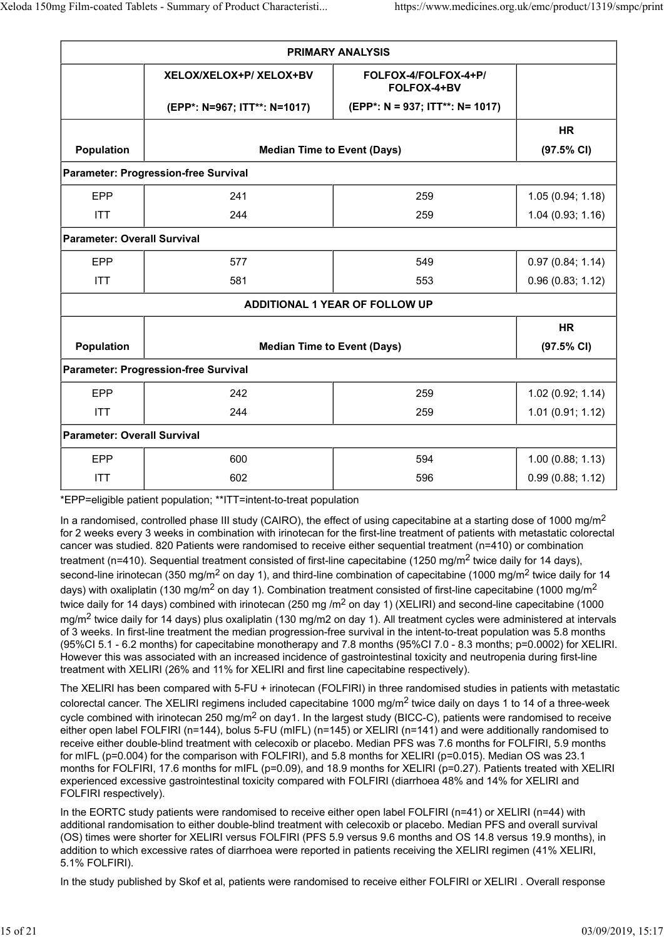| <b>PRIMARY ANALYSIS</b>                     |                                    |                                     |                       |  |  |
|---------------------------------------------|------------------------------------|-------------------------------------|-----------------------|--|--|
|                                             | XELOX/XELOX+P/ XELOX+BV            | FOLFOX-4/FOLFOX-4+P/<br>FOLFOX-4+BV |                       |  |  |
|                                             | (EPP*: N=967; ITT**: N=1017)       | (EPP*: N = 937; ITT**: N= 1017)     |                       |  |  |
|                                             |                                    | <b>HR</b>                           |                       |  |  |
| Population                                  | <b>Median Time to Event (Days)</b> |                                     | $(97.5\% \text{ Cl})$ |  |  |
| <b>Parameter: Progression-free Survival</b> |                                    |                                     |                       |  |  |
| EPP                                         | 241                                | 259                                 | 1.05(0.94; 1.18)      |  |  |
| <b>ITT</b>                                  | 244                                | 259                                 | 1.04(0.93; 1.16)      |  |  |
| <b>Parameter: Overall Survival</b>          |                                    |                                     |                       |  |  |
| <b>EPP</b>                                  | 577                                | 549                                 | 0.97(0.84; 1.14)      |  |  |
| <b>ITT</b>                                  | 581                                | 553                                 | 0.96(0.83; 1.12)      |  |  |
| <b>ADDITIONAL 1 YEAR OF FOLLOW UP</b>       |                                    |                                     |                       |  |  |
|                                             |                                    |                                     | <b>HR</b>             |  |  |
| Population                                  | <b>Median Time to Event (Days)</b> |                                     | $(97.5\% \text{ Cl})$ |  |  |
| <b>Parameter: Progression-free Survival</b> |                                    |                                     |                       |  |  |
| EPP                                         | 242                                | 259                                 | 1.02 (0.92; 1.14)     |  |  |
| <b>ITT</b>                                  | 244                                | 259                                 | 1.01(0.91; 1.12)      |  |  |
| <b>Parameter: Overall Survival</b>          |                                    |                                     |                       |  |  |
| <b>EPP</b>                                  | 600                                | 594                                 | 1.00 (0.88; 1.13)     |  |  |
| <b>ITT</b>                                  | 602                                | 596                                 | 0.99(0.88; 1.12)      |  |  |

\*EPP=eligible patient population; \*\*ITT=intent-to-treat population

In a randomised, controlled phase III study (CAIRO), the effect of using capecitabine at a starting dose of 1000 mg/m<sup>2</sup> for 2 weeks every 3 weeks in combination with irinotecan for the first-line treatment of patients with metastatic colorectal cancer was studied. 820 Patients were randomised to receive either sequential treatment (n=410) or combination treatment (n=410). Sequential treatment consisted of first-line capecitabine (1250 mg/m<sup>2</sup> twice daily for 14 days), second-line irinotecan (350 mg/m<sup>2</sup> on day 1), and third-line combination of capecitabine (1000 mg/m<sup>2</sup> twice daily for 14 days) with oxaliplatin (130 mg/m<sup>2</sup> on day 1). Combination treatment consisted of first-line capecitabine (1000 mg/m<sup>2</sup> twice daily for 14 days) combined with irinotecan (250 mg /m2 on day 1) (XELIRI) and second-line capecitabine (1000 mg/m<sup>2</sup> twice daily for 14 days) plus oxaliplatin (130 mg/m2 on day 1). All treatment cycles were administered at intervals of 3 weeks. In first-line treatment the median progression-free survival in the intent-to-treat population was 5.8 months (95%CI 5.1 - 6.2 months) for capecitabine monotherapy and 7.8 months (95%CI 7.0 - 8.3 months; p=0.0002) for XELIRI. However this was associated with an increased incidence of gastrointestinal toxicity and neutropenia during first-line treatment with XELIRI (26% and 11% for XELIRI and first line capecitabine respectively).

The XELIRI has been compared with 5-FU + irinotecan (FOLFIRI) in three randomised studies in patients with metastatic colorectal cancer. The XELIRI regimens included capecitabine 1000 mg/m2 twice daily on days 1 to 14 of a three-week cycle combined with irinotecan 250 mg/m2 on day1. In the largest study (BICC-C), patients were randomised to receive either open label FOLFIRI (n=144), bolus 5-FU (mIFL) (n=145) or XELIRI (n=141) and were additionally randomised to receive either double-blind treatment with celecoxib or placebo. Median PFS was 7.6 months for FOLFIRI, 5.9 months for mIFL (p=0.004) for the comparison with FOLFIRI), and 5.8 months for XELIRI (p=0.015). Median OS was 23.1 months for FOLFIRI, 17.6 months for mIFL (p=0.09), and 18.9 months for XELIRI (p=0.27). Patients treated with XELIRI experienced excessive gastrointestinal toxicity compared with FOLFIRI (diarrhoea 48% and 14% for XELIRI and FOLFIRI respectively).

In the EORTC study patients were randomised to receive either open label FOLFIRI (n=41) or XELIRI (n=44) with additional randomisation to either double-blind treatment with celecoxib or placebo. Median PFS and overall survival (OS) times were shorter for XELIRI versus FOLFIRI (PFS 5.9 versus 9.6 months and OS 14.8 versus 19.9 months), in addition to which excessive rates of diarrhoea were reported in patients receiving the XELIRI regimen (41% XELIRI, 5.1% FOLFIRI).

In the study published by Skof et al, patients were randomised to receive either FOLFIRI or XELIRI . Overall response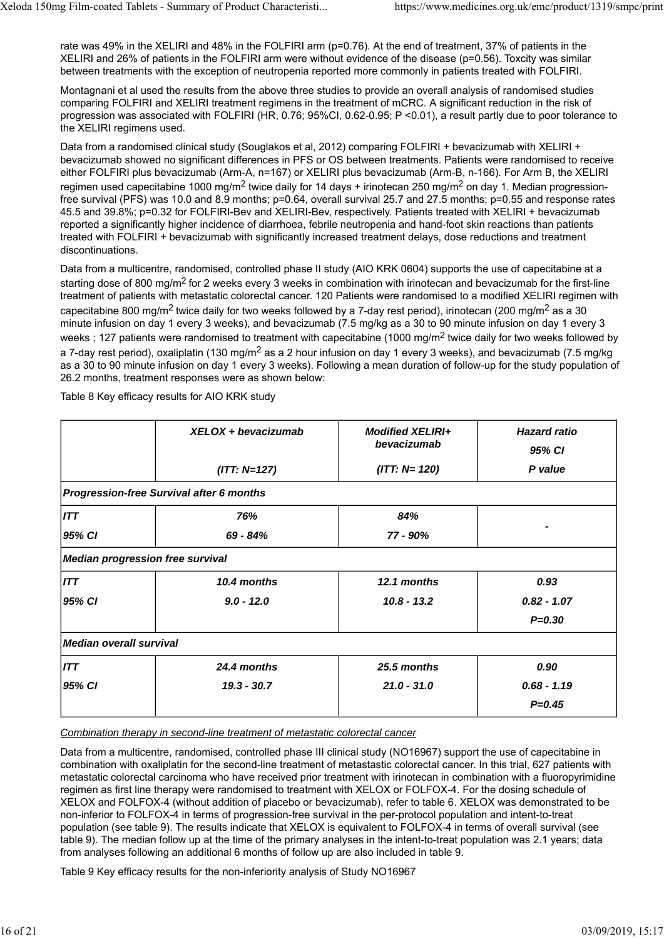rate was 49% in the XELIRI and 48% in the FOLFIRI arm (p=0.76). At the end of treatment, 37% of patients in the XELIRI and 26% of patients in the FOLFIRI arm were without evidence of the disease (p=0.56). Toxcity was similar between treatments with the exception of neutropenia reported more commonly in patients treated with FOLFIRI.

Montagnani et al used the results from the above three studies to provide an overall analysis of randomised studies comparing FOLFIRI and XELIRI treatment regimens in the treatment of mCRC. A significant reduction in the risk of progression was associated with FOLFIRI (HR, 0.76; 95%CI, 0.62-0.95; P <0.01), a result partly due to poor tolerance to the XELIRI regimens used.

Data from a randomised clinical study (Souglakos et al. 2012) comparing FOLFIRI + bevacizumab with XELIRI + bevacizumab showed no significant differences in PFS or OS between treatments. Patients were randomised to receive either FOLFIRI plus bevacizumab (Arm-A, n=167) or XELIRI plus bevacizumab (Arm-B, n-166). For Arm B, the XELIRI regimen used capecitabine 1000 mg/m<sup>2</sup> twice daily for 14 days + irinotecan 250 mg/m<sup>2</sup> on day 1. Median progressionfree survival (PFS) was 10.0 and 8.9 months; p=0.64, overall survival 25.7 and 27.5 months; p=0.55 and response rates 45.5 and 39.8%; p=0.32 for FOLFIRI-Bev and XELIRI-Bev, respectively. Patients treated with XELIRI + bevacizumab reported a significantly higher incidence of diarrhoea, febrile neutropenia and hand-foot skin reactions than patients treated with FOLFIRI + bevacizumab with significantly increased treatment delays, dose reductions and treatment discontinuations.

Data from a multicentre, randomised, controlled phase II study (AIO KRK 0604) supports the use of capecitabine at a starting dose of 800 mg/m<sup>2</sup> for 2 weeks every 3 weeks in combination with irinotecan and bevacizumab for the first-line treatment of patients with metastatic colorectal cancer. 120 Patients were randomised to a modified XELIRI regimen with capecitabine 800 mg/m<sup>2</sup> twice daily for two weeks followed by a 7-day rest period), irinotecan (200 mg/m<sup>2</sup> as a 30 minute infusion on day 1 every 3 weeks), and bevacizumab (7.5 mg/kg as a 30 to 90 minute infusion on day 1 every 3 weeks ; 127 patients were randomised to treatment with capecitabine (1000 mg/m<sup>2</sup> twice daily for two weeks followed by a 7-day rest period), oxaliplatin (130 mg/m<sup>2</sup> as a 2 hour infusion on day 1 every 3 weeks), and bevacizumab (7.5 mg/kg as a 30 to 90 minute infusion on day 1 every 3 weeks). Following a mean duration of follow-up for the study population of 26.2 months, treatment responses were as shown below:

|                                                 | XELOX + bevacizumab | <b>Modified XELIRI+</b><br>bevacizumab | <b>Hazard ratio</b><br>95% CI |  |  |  |
|-------------------------------------------------|---------------------|----------------------------------------|-------------------------------|--|--|--|
|                                                 | $(ITT: N=127)$      | $(1TT: N= 120)$                        | P value                       |  |  |  |
| <b>Progression-free Survival after 6 months</b> |                     |                                        |                               |  |  |  |
| ITT                                             | 76%                 | 84%                                    |                               |  |  |  |
| 95% CI                                          | $69 - 84%$          | 77 - 90%                               |                               |  |  |  |
| <b>Median progression free survival</b>         |                     |                                        |                               |  |  |  |
| ITT                                             | 10.4 months         | 12.1 months                            | 0.93                          |  |  |  |
| 95% CI                                          | $9.0 - 12.0$        | $10.8 - 13.2$                          | $0.82 - 1.07$                 |  |  |  |
|                                                 |                     |                                        | $P = 0.30$                    |  |  |  |
| <b>Median overall survival</b>                  |                     |                                        |                               |  |  |  |
| ITT                                             | 24.4 months         | 25.5 months                            | 0.90                          |  |  |  |
| 95% CI                                          | $19.3 - 30.7$       | $21.0 - 31.0$                          | $0.68 - 1.19$                 |  |  |  |
|                                                 |                     |                                        | $P = 0.45$                    |  |  |  |

Table 8 Key efficacy results for AIO KRK study

*Combination therapy in second-line treatment of metastatic colorectal cancer*

Data from a multicentre, randomised, controlled phase III clinical study (NO16967) support the use of capecitabine in combination with oxaliplatin for the second-line treatment of metastastic colorectal cancer. In this trial, 627 patients with metastatic colorectal carcinoma who have received prior treatment with irinotecan in combination with a fluoropyrimidine regimen as first line therapy were randomised to treatment with XELOX or FOLFOX-4. For the dosing schedule of XELOX and FOLFOX-4 (without addition of placebo or bevacizumab), refer to table 6. XELOX was demonstrated to be non-inferior to FOLFOX-4 in terms of progression-free survival in the per-protocol population and intent-to-treat population (see table 9). The results indicate that XELOX is equivalent to FOLFOX-4 in terms of overall survival (see table 9). The median follow up at the time of the primary analyses in the intent-to-treat population was 2.1 years; data from analyses following an additional 6 months of follow up are also included in table 9.

Table 9 Key efficacy results for the non-inferiority analysis of Study NO16967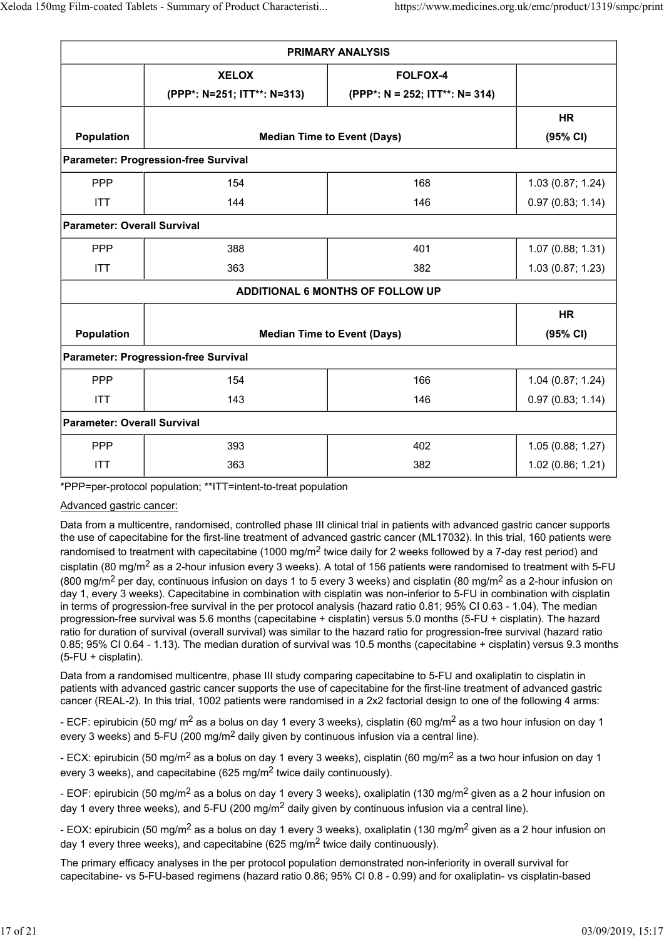| <b>PRIMARY ANALYSIS</b>                     |                                    |                                |                   |  |  |
|---------------------------------------------|------------------------------------|--------------------------------|-------------------|--|--|
|                                             | <b>XELOX</b>                       | <b>FOLFOX-4</b>                |                   |  |  |
|                                             | (PPP*: N=251; ITT**: N=313)        | (PPP*: N = 252; ITT**: N= 314) |                   |  |  |
|                                             |                                    |                                | <b>HR</b>         |  |  |
| Population                                  | <b>Median Time to Event (Days)</b> |                                | (95% CI)          |  |  |
| Parameter: Progression-free Survival        |                                    |                                |                   |  |  |
| <b>PPP</b>                                  | 154                                | 168                            | 1.03 (0.87; 1.24) |  |  |
| <b>ITT</b>                                  | 144                                | 146                            | 0.97(0.83; 1.14)  |  |  |
| <b>Parameter: Overall Survival</b>          |                                    |                                |                   |  |  |
| <b>PPP</b>                                  | 388                                | 401                            | 1.07 (0.88; 1.31) |  |  |
| <b>ITT</b>                                  | 363                                | 382                            | 1.03 (0.87; 1.23) |  |  |
| <b>ADDITIONAL 6 MONTHS OF FOLLOW UP</b>     |                                    |                                |                   |  |  |
|                                             |                                    |                                | <b>HR</b>         |  |  |
| Population                                  | <b>Median Time to Event (Days)</b> |                                | (95% CI)          |  |  |
| <b>Parameter: Progression-free Survival</b> |                                    |                                |                   |  |  |
| <b>PPP</b>                                  | 154                                | 166                            | 1.04 (0.87; 1.24) |  |  |
| <b>ITT</b>                                  | 143                                | 146                            | 0.97(0.83; 1.14)  |  |  |
| <b>Parameter: Overall Survival</b>          |                                    |                                |                   |  |  |
| <b>PPP</b>                                  | 393                                | 402                            | 1.05 (0.88; 1.27) |  |  |
| <b>ITT</b>                                  | 363                                | 382                            | 1.02 (0.86; 1.21) |  |  |

\*PPP=per-protocol population; \*\*ITT=intent-to-treat population

### Advanced gastric cancer:

Data from a multicentre, randomised, controlled phase III clinical trial in patients with advanced gastric cancer supports the use of capecitabine for the first-line treatment of advanced gastric cancer (ML17032). In this trial, 160 patients were randomised to treatment with capecitabine (1000 mg/m<sup>2</sup> twice daily for 2 weeks followed by a 7-day rest period) and cisplatin (80 mg/m<sup>2</sup> as a 2-hour infusion every 3 weeks). A total of 156 patients were randomised to treatment with 5-FU (800 mg/m<sup>2</sup> per day, continuous infusion on days 1 to 5 every 3 weeks) and cisplatin (80 mg/m<sup>2</sup> as a 2-hour infusion on day 1, every 3 weeks). Capecitabine in combination with cisplatin was non-inferior to 5-FU in combination with cisplatin in terms of progression-free survival in the per protocol analysis (hazard ratio 0.81; 95% CI 0.63 - 1.04). The median progression-free survival was 5.6 months (capecitabine + cisplatin) versus 5.0 months (5-FU + cisplatin). The hazard ratio for duration of survival (overall survival) was similar to the hazard ratio for progression-free survival (hazard ratio 0.85; 95% CI 0.64 - 1.13). The median duration of survival was 10.5 months (capecitabine + cisplatin) versus 9.3 months (5-FU + cisplatin).

Data from a randomised multicentre, phase III study comparing capecitabine to 5-FU and oxaliplatin to cisplatin in patients with advanced gastric cancer supports the use of capecitabine for the first-line treatment of advanced gastric cancer (REAL-2). In this trial, 1002 patients were randomised in a 2x2 factorial design to one of the following 4 arms:

- ECF: epirubicin (50 mg/ m<sup>2</sup> as a bolus on day 1 every 3 weeks), cisplatin (60 mg/m<sup>2</sup> as a two hour infusion on day 1 every 3 weeks) and 5-FU (200 mg/m<sup>2</sup> daily given by continuous infusion via a central line).

- ECX: epirubicin (50 mg/m<sup>2</sup> as a bolus on day 1 every 3 weeks), cisplatin (60 mg/m<sup>2</sup> as a two hour infusion on day 1 every 3 weeks), and capecitabine (625 mg/m<sup>2</sup> twice daily continuously).

- EOF: epirubicin (50 mg/m<sup>2</sup> as a bolus on day 1 every 3 weeks), oxaliplatin (130 mg/m<sup>2</sup> given as a 2 hour infusion on day 1 every three weeks), and 5-FU (200 mg/m2 daily given by continuous infusion via a central line).

- EOX: epirubicin (50 mg/m<sup>2</sup> as a bolus on day 1 every 3 weeks), oxaliplatin (130 mg/m<sup>2</sup> given as a 2 hour infusion on day 1 every three weeks), and capecitabine (625 mg/m2 twice daily continuously).

The primary efficacy analyses in the per protocol population demonstrated non-inferiority in overall survival for capecitabine- vs 5-FU-based regimens (hazard ratio 0.86; 95% CI 0.8 - 0.99) and for oxaliplatin- vs cisplatin-based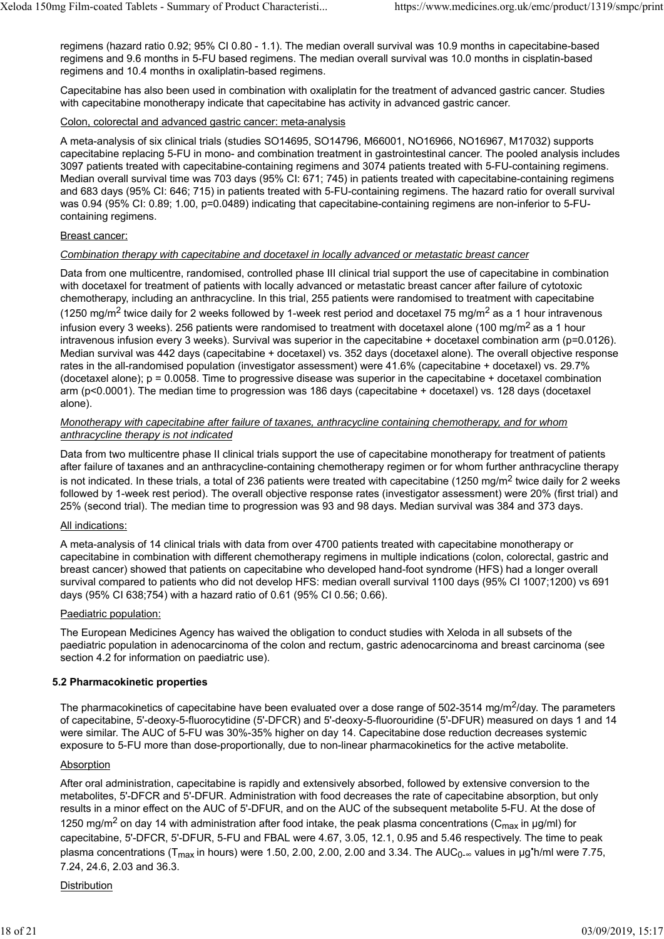regimens (hazard ratio 0.92; 95% CI 0.80 - 1.1). The median overall survival was 10.9 months in capecitabine-based regimens and 9.6 months in 5-FU based regimens. The median overall survival was 10.0 months in cisplatin-based regimens and 10.4 months in oxaliplatin-based regimens.

Capecitabine has also been used in combination with oxaliplatin for the treatment of advanced gastric cancer. Studies with capecitabine monotherapy indicate that capecitabine has activity in advanced gastric cancer.

#### Colon, colorectal and advanced gastric cancer: meta-analysis

A meta-analysis of six clinical trials (studies SO14695, SO14796, M66001, NO16966, NO16967, M17032) supports capecitabine replacing 5-FU in mono- and combination treatment in gastrointestinal cancer. The pooled analysis includes 3097 patients treated with capecitabine-containing regimens and 3074 patients treated with 5-FU-containing regimens. Median overall survival time was 703 days (95% CI: 671; 745) in patients treated with capecitabine-containing regimens and 683 days (95% CI: 646; 715) in patients treated with 5-FU-containing regimens. The hazard ratio for overall survival was 0.94 (95% CI: 0.89; 1.00, p=0.0489) indicating that capecitabine-containing regimens are non-inferior to 5-FUcontaining regimens.

#### Breast cancer:

#### *Combination therapy with capecitabine and docetaxel in locally advanced or metastatic breast cancer*

Data from one multicentre, randomised, controlled phase III clinical trial support the use of capecitabine in combination with docetaxel for treatment of patients with locally advanced or metastatic breast cancer after failure of cytotoxic chemotherapy, including an anthracycline. In this trial, 255 patients were randomised to treatment with capecitabine (1250 mg/m<sup>2</sup> twice daily for 2 weeks followed by 1-week rest period and docetaxel 75 mg/m<sup>2</sup> as a 1 hour intravenous infusion every 3 weeks). 256 patients were randomised to treatment with docetaxel alone (100 mg/m<sup>2</sup> as a 1 hour intravenous infusion every 3 weeks). Survival was superior in the capecitabine + docetaxel combination arm (p=0.0126). Median survival was 442 days (capecitabine + docetaxel) vs. 352 days (docetaxel alone). The overall objective response rates in the all-randomised population (investigator assessment) were 41.6% (capecitabine + docetaxel) vs. 29.7% (docetaxel alone);  $p = 0.0058$ . Time to progressive disease was superior in the capecitabine + docetaxel combination arm (p<0.0001). The median time to progression was 186 days (capecitabine + docetaxel) vs. 128 days (docetaxel alone).

#### *Monotherapy with capecitabine after failure of taxanes, anthracycline containing chemotherapy, and for whom anthracycline therapy is not indicated*

Data from two multicentre phase II clinical trials support the use of capecitabine monotherapy for treatment of patients after failure of taxanes and an anthracycline-containing chemotherapy regimen or for whom further anthracycline therapy is not indicated. In these trials, a total of 236 patients were treated with capecitabine (1250 mg/m<sup>2</sup> twice daily for 2 weeks followed by 1-week rest period). The overall objective response rates (investigator assessment) were 20% (first trial) and 25% (second trial). The median time to progression was 93 and 98 days. Median survival was 384 and 373 days.

### All indications:

A meta-analysis of 14 clinical trials with data from over 4700 patients treated with capecitabine monotherapy or capecitabine in combination with different chemotherapy regimens in multiple indications (colon, colorectal, gastric and breast cancer) showed that patients on capecitabine who developed hand-foot syndrome (HFS) had a longer overall survival compared to patients who did not develop HFS: median overall survival 1100 days (95% CI 1007;1200) vs 691 days (95% CI 638;754) with a hazard ratio of 0.61 (95% CI 0.56; 0.66).

### Paediatric population:

The European Medicines Agency has waived the obligation to conduct studies with Xeloda in all subsets of the paediatric population in adenocarcinoma of the colon and rectum, gastric adenocarcinoma and breast carcinoma (see section 4.2 for information on paediatric use).

### **5.2 Pharmacokinetic properties**

The pharmacokinetics of capecitabine have been evaluated over a dose range of 502-3514 mg/m<sup>2</sup>/day. The parameters of capecitabine, 5'-deoxy-5-fluorocytidine (5'-DFCR) and 5'-deoxy-5-fluorouridine (5'-DFUR) measured on days 1 and 14 were similar. The AUC of 5-FU was 30%-35% higher on day 14. Capecitabine dose reduction decreases systemic exposure to 5-FU more than dose-proportionally, due to non-linear pharmacokinetics for the active metabolite.

#### **Absorption**

After oral administration, capecitabine is rapidly and extensively absorbed, followed by extensive conversion to the metabolites, 5'-DFCR and 5'-DFUR. Administration with food decreases the rate of capecitabine absorption, but only results in a minor effect on the AUC of 5'-DFUR, and on the AUC of the subsequent metabolite 5-FU. At the dose of 1250 mg/m<sup>2</sup> on day 14 with administration after food intake, the peak plasma concentrations (C<sub>max</sub> in µg/ml) for capecitabine, 5'-DFCR, 5'-DFUR, 5-FU and FBAL were 4.67, 3.05, 12.1, 0.95 and 5.46 respectively. The time to peak plasma concentrations (T<sub>max</sub> in hours) were 1.50, 2.00, 2.00, 2.00 and 3.34. The AUC<sub>0-∞</sub> values in μg**'**h/ml were 7.75, 7.24, 24.6, 2.03 and 36.3.

#### **Distribution**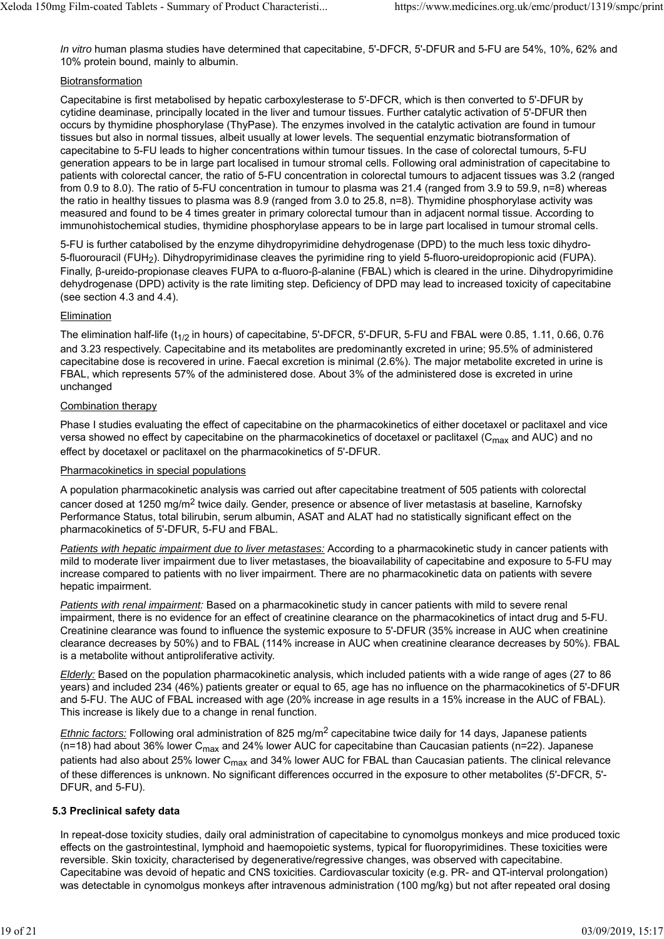*In vitro* human plasma studies have determined that capecitabine, 5'-DFCR, 5'-DFUR and 5-FU are 54%, 10%, 62% and 10% protein bound, mainly to albumin.

### Biotransformation

Capecitabine is first metabolised by hepatic carboxylesterase to 5'-DFCR, which is then converted to 5'-DFUR by cytidine deaminase, principally located in the liver and tumour tissues. Further catalytic activation of 5'-DFUR then occurs by thymidine phosphorylase (ThyPase). The enzymes involved in the catalytic activation are found in tumour tissues but also in normal tissues, albeit usually at lower levels. The sequential enzymatic biotransformation of capecitabine to 5-FU leads to higher concentrations within tumour tissues. In the case of colorectal tumours, 5-FU generation appears to be in large part localised in tumour stromal cells. Following oral administration of capecitabine to patients with colorectal cancer, the ratio of 5-FU concentration in colorectal tumours to adjacent tissues was 3.2 (ranged from 0.9 to 8.0). The ratio of 5-FU concentration in tumour to plasma was 21.4 (ranged from 3.9 to 59.9, n=8) whereas the ratio in healthy tissues to plasma was 8.9 (ranged from 3.0 to 25.8, n=8). Thymidine phosphorylase activity was measured and found to be 4 times greater in primary colorectal tumour than in adjacent normal tissue. According to immunohistochemical studies, thymidine phosphorylase appears to be in large part localised in tumour stromal cells.

5-FU is further catabolised by the enzyme dihydropyrimidine dehydrogenase (DPD) to the much less toxic dihydro-5-fluorouracil (FUH2). Dihydropyrimidinase cleaves the pyrimidine ring to yield 5-fluoro-ureidopropionic acid (FUPA). Finally, β-ureido-propionase cleaves FUPA to α-fluoro-β-alanine (FBAL) which is cleared in the urine. Dihydropyrimidine dehydrogenase (DPD) activity is the rate limiting step. Deficiency of DPD may lead to increased toxicity of capecitabine (see section 4.3 and 4.4).

#### Elimination

The elimination half-life ( $t_{1/2}$  in hours) of capecitabine, 5'-DFCR, 5'-DFUR, 5-FU and FBAL were 0.85, 1.11, 0.66, 0.76 and 3.23 respectively. Capecitabine and its metabolites are predominantly excreted in urine; 95.5% of administered capecitabine dose is recovered in urine. Faecal excretion is minimal (2.6%). The major metabolite excreted in urine is FBAL, which represents 57% of the administered dose. About 3% of the administered dose is excreted in urine unchanged

#### Combination therapy

Phase I studies evaluating the effect of capecitabine on the pharmacokinetics of either docetaxel or paclitaxel and vice versa showed no effect by capecitabine on the pharmacokinetics of docetaxel or paclitaxel ( $C_{\text{max}}$  and AUC) and no effect by docetaxel or paclitaxel on the pharmacokinetics of 5'-DFUR.

#### Pharmacokinetics in special populations

A population pharmacokinetic analysis was carried out after capecitabine treatment of 505 patients with colorectal cancer dosed at 1250 mg/m2 twice daily. Gender, presence or absence of liver metastasis at baseline, Karnofsky Performance Status, total bilirubin, serum albumin, ASAT and ALAT had no statistically significant effect on the pharmacokinetics of 5'-DFUR, 5-FU and FBAL.

*Patients with hepatic impairment due to liver metastases:* According to a pharmacokinetic study in cancer patients with mild to moderate liver impairment due to liver metastases, the bioavailability of capecitabine and exposure to 5-FU may increase compared to patients with no liver impairment. There are no pharmacokinetic data on patients with severe hepatic impairment.

*Patients with renal impairment:* Based on a pharmacokinetic study in cancer patients with mild to severe renal impairment, there is no evidence for an effect of creatinine clearance on the pharmacokinetics of intact drug and 5-FU. Creatinine clearance was found to influence the systemic exposure to 5'-DFUR (35% increase in AUC when creatinine clearance decreases by 50%) and to FBAL (114% increase in AUC when creatinine clearance decreases by 50%). FBAL is a metabolite without antiproliferative activity.

*Elderly:* Based on the population pharmacokinetic analysis, which included patients with a wide range of ages (27 to 86 years) and included 234 (46%) patients greater or equal to 65, age has no influence on the pharmacokinetics of 5'-DFUR and 5-FU. The AUC of FBAL increased with age (20% increase in age results in a 15% increase in the AUC of FBAL). This increase is likely due to a change in renal function.

*Ethnic factors:* Following oral administration of 825 mg/m2 capecitabine twice daily for 14 days, Japanese patients (n=18) had about 36% lower C<sub>max</sub> and 24% lower AUC for capecitabine than Caucasian patients (n=22). Japanese patients had also about 25% lower C<sub>max</sub> and 34% lower AUC for FBAL than Caucasian patients. The clinical relevance of these differences is unknown. No significant differences occurred in the exposure to other metabolites (5'-DFCR, 5'- DFUR, and 5-FU).

### **5.3 Preclinical safety data**

In repeat-dose toxicity studies, daily oral administration of capecitabine to cynomolgus monkeys and mice produced toxic effects on the gastrointestinal, lymphoid and haemopoietic systems, typical for fluoropyrimidines. These toxicities were reversible. Skin toxicity, characterised by degenerative/regressive changes, was observed with capecitabine. Capecitabine was devoid of hepatic and CNS toxicities. Cardiovascular toxicity (e.g. PR- and QT-interval prolongation) was detectable in cynomolgus monkeys after intravenous administration (100 mg/kg) but not after repeated oral dosing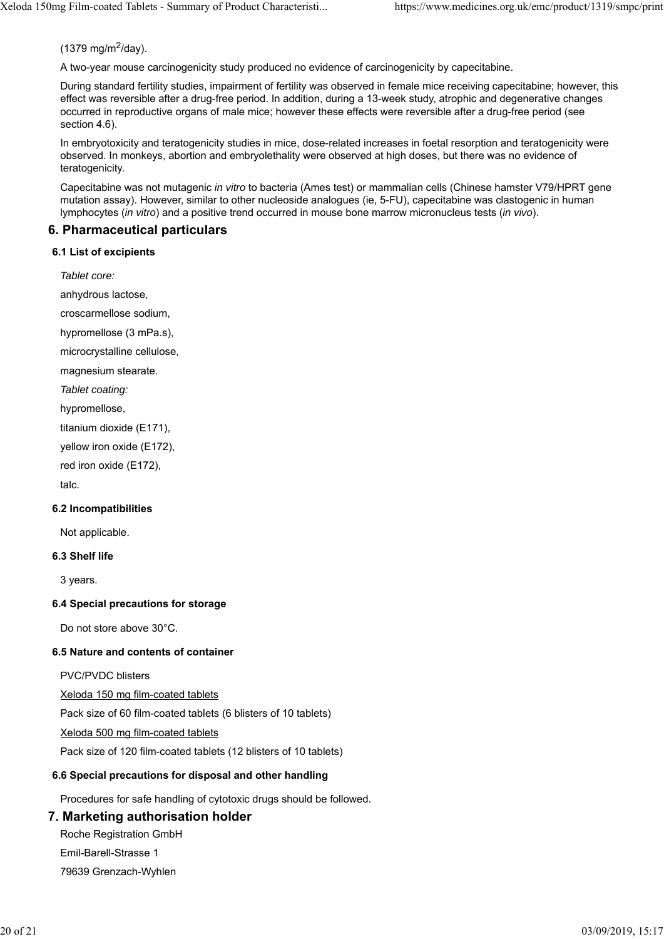### $(1379 \text{ ma/m}^2/\text{day})$ .

A two-year mouse carcinogenicity study produced no evidence of carcinogenicity by capecitabine.

During standard fertility studies, impairment of fertility was observed in female mice receiving capecitabine; however, this effect was reversible after a drug-free period. In addition, during a 13-week study, atrophic and degenerative changes occurred in reproductive organs of male mice; however these effects were reversible after a drug-free period (see section 4.6).

In embryotoxicity and teratogenicity studies in mice, dose-related increases in foetal resorption and teratogenicity were observed. In monkeys, abortion and embryolethality were observed at high doses, but there was no evidence of teratogenicity.

Capecitabine was not mutagenic *in vitro* to bacteria (Ames test) or mammalian cells (Chinese hamster V79/HPRT gene mutation assay). However, similar to other nucleoside analogues (ie, 5-FU), capecitabine was clastogenic in human lymphocytes (*in vitro*) and a positive trend occurred in mouse bone marrow micronucleus tests (*in vivo*).

### **6. Pharmaceutical particulars**

#### **6.1 List of excipients**

*Tablet core:* anhydrous lactose, croscarmellose sodium, hypromellose (3 mPa.s),

microcrystalline cellulose,

magnesium stearate.

*Tablet coating:*

hypromellose,

titanium dioxide (E171),

yellow iron oxide (E172),

red iron oxide (E172),

talc.

### **6.2 Incompatibilities**

Not applicable.

### **6.3 Shelf life**

3 years.

### **6.4 Special precautions for storage**

Do not store above 30°C.

### **6.5 Nature and contents of container**

PVC/PVDC blisters

Xeloda 150 mg film-coated tablets

Pack size of 60 film-coated tablets (6 blisters of 10 tablets)

Xeloda 500 mg film-coated tablets

Pack size of 120 film-coated tablets (12 blisters of 10 tablets)

### **6.6 Special precautions for disposal and other handling**

Procedures for safe handling of cytotoxic drugs should be followed.

### **7. Marketing authorisation holder**

Roche Registration GmbH Emil-Barell-Strasse 1

79639 Grenzach-Wyhlen